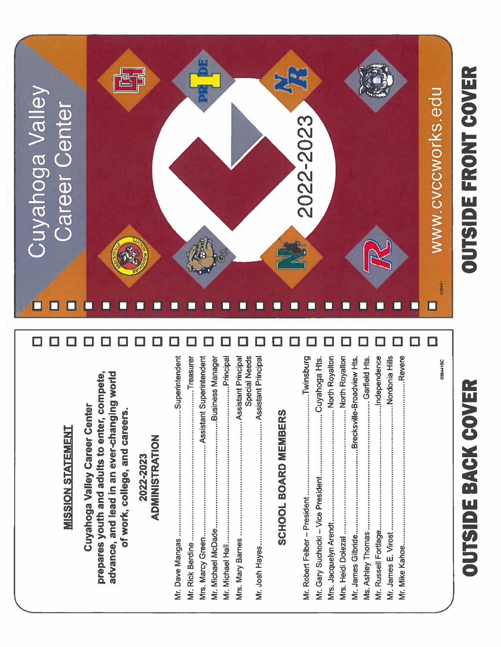# OUTSIDE FRONT COVER



# ............Independence **Special Needs** Principal 038441BC advance, and lead in an ever-changing world prepares youth and adults to enter, compete, Cuyahoga Valley Career Center of work, college, and careers. **SCHOOL BOARD MEMBERS MISSION STATEMENT**

**ADMINISTRATION** 2022-2023

# .............................Garfield Hts. Ms. Ashley Thomas .................. Mr. Russell Fortlage..............

OUTSIDE BACK COVER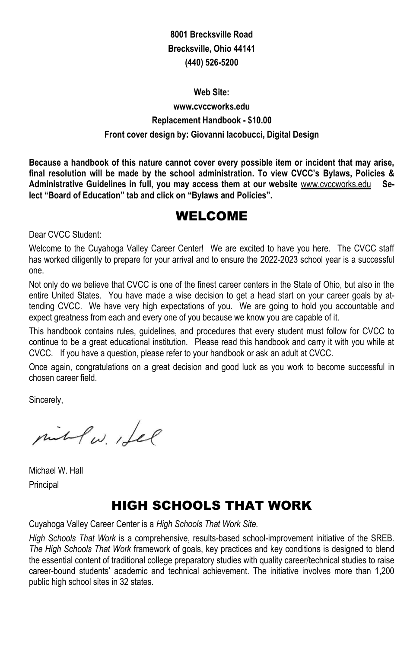### **8001 Brecksville Road Brecksville, Ohio 44141 (440) 526-5200**

# **Web Site: www.cvccworks.edu Replacement Handbook - \$10.00 Front cover design by: Giovanni Iacobucci, Digital Design**

**Because a handbook of this nature cannot cover every possible item or incident that may arise, final resolution will be made by the school administration. To view CVCC's Bylaws, Policies &**  Administrative Guidelines in full, you may access them at our website **www.cvccworks.edu** Se**lect "Board of Education" tab and click on "Bylaws and Policies".**

# WELCOME

Dear CVCC Student:

Welcome to the Cuyahoga Valley Career Center! We are excited to have you here. The CVCC staff has worked diligently to prepare for your arrival and to ensure the 2022-2023 school year is a successful one.

Not only do we believe that CVCC is one of the finest career centers in the State of Ohio, but also in the entire United States. You have made a wise decision to get a head start on your career goals by attending CVCC. We have very high expectations of you. We are going to hold you accountable and expect greatness from each and every one of you because we know you are capable of it.

This handbook contains rules, guidelines, and procedures that every student must follow for CVCC to continue to be a great educational institution. Please read this handbook and carry it with you while at CVCC. If you have a question, please refer to your handbook or ask an adult at CVCC.

Once again, congratulations on a great decision and good luck as you work to become successful in chosen career field.

Sincerely,

pit Pw. Lee

Michael W. Hall Principal

# HIGH SCHOOLS THAT WORK

Cuyahoga Valley Career Center is a *High Schools That Work Site.*

*High Schools That Work* is a comprehensive, results-based school-improvement initiative of the SREB. *The High Schools That Work* framework of goals, key practices and key conditions is designed to blend the essential content of traditional college preparatory studies with quality career/technical studies to raise career-bound students' academic and technical achievement. The initiative involves more than 1,200 public high school sites in 32 states.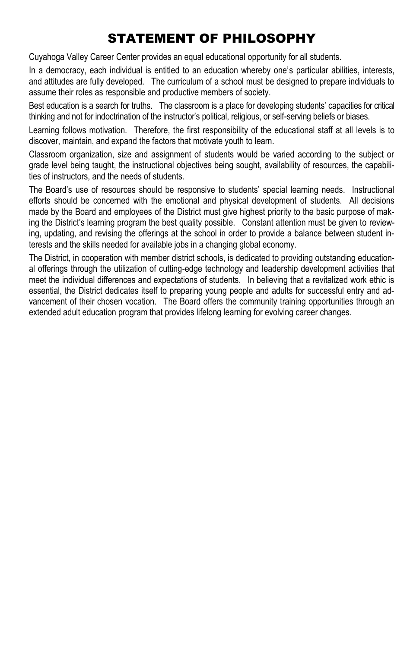# STATEMENT OF PHILOSOPHY

Cuyahoga Valley Career Center provides an equal educational opportunity for all students.

In a democracy, each individual is entitled to an education whereby one's particular abilities, interests, and attitudes are fully developed. The curriculum of a school must be designed to prepare individuals to assume their roles as responsible and productive members of society.

Best education is a search for truths. The classroom is a place for developing students' capacities for critical thinking and not for indoctrination of the instructor's political, religious, or self-serving beliefs or biases.

Learning follows motivation. Therefore, the first responsibility of the educational staff at all levels is to discover, maintain, and expand the factors that motivate youth to learn.

Classroom organization, size and assignment of students would be varied according to the subject or grade level being taught, the instructional objectives being sought, availability of resources, the capabilities of instructors, and the needs of students.

The Board's use of resources should be responsive to students' special learning needs. Instructional efforts should be concerned with the emotional and physical development of students. All decisions made by the Board and employees of the District must give highest priority to the basic purpose of making the District's learning program the best quality possible. Constant attention must be given to reviewing, updating, and revising the offerings at the school in order to provide a balance between student interests and the skills needed for available jobs in a changing global economy.

The District, in cooperation with member district schools, is dedicated to providing outstanding educational offerings through the utilization of cutting-edge technology and leadership development activities that meet the individual differences and expectations of students. In believing that a revitalized work ethic is essential, the District dedicates itself to preparing young people and adults for successful entry and advancement of their chosen vocation. The Board offers the community training opportunities through an extended adult education program that provides lifelong learning for evolving career changes.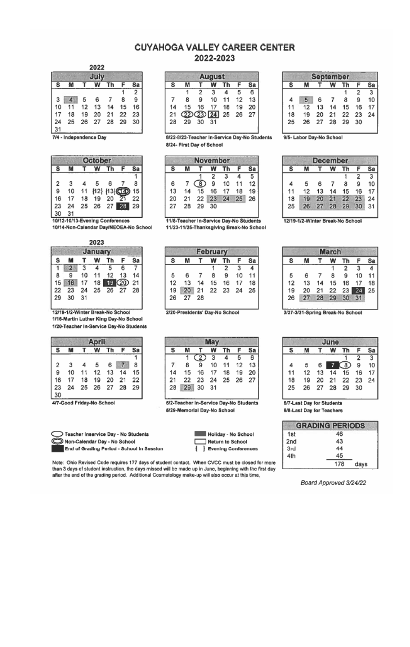### **CUYAHOGA VALLEY CAREER CENTER** 2022-2023

2022

| July |    |    |    |    |    |                |  |  |  |  |  |
|------|----|----|----|----|----|----------------|--|--|--|--|--|
| ś    |    |    | w  | Th |    | Sa             |  |  |  |  |  |
|      |    |    |    |    |    | $\overline{2}$ |  |  |  |  |  |
| 3    |    | 5  | 6  |    | 8  | 9              |  |  |  |  |  |
| 10   | 11 | 12 | 13 | 14 | 15 | 16             |  |  |  |  |  |
| 17   | 18 | 19 | 20 | 21 | 22 | 23             |  |  |  |  |  |
| 24   | 25 | 26 | 27 | 28 | 29 | 30             |  |  |  |  |  |
| 31   |    |    |    |    |    |                |  |  |  |  |  |

7/4 - Independence Day

|    | October |    |    |                           |           |    |  |  |  |  |  |  |
|----|---------|----|----|---------------------------|-----------|----|--|--|--|--|--|--|
| S  |         |    |    |                           |           |    |  |  |  |  |  |  |
|    |         |    |    |                           |           |    |  |  |  |  |  |  |
| 2  | 3       |    | 5  | 6                         |           | 8  |  |  |  |  |  |  |
| g  | 10      | 11 |    | ${12}$ ${13}$ $\text{C2}$ |           | 15 |  |  |  |  |  |  |
| 16 | 17      | 18 | 19 | 20                        |           | 22 |  |  |  |  |  |  |
| 23 | 24      | 25 | 26 |                           | $27 - 28$ | 29 |  |  |  |  |  |  |
|    |         |    |    |                           |           |    |  |  |  |  |  |  |

10/12-10/13-Evening Conferences 10/14-Non-Calendar Day/NEOEA-No School

2023

| January |    |    |    |    |           |    |  |  |  |  |  |
|---------|----|----|----|----|-----------|----|--|--|--|--|--|
| s       | M  |    |    | Th | F         | Sa |  |  |  |  |  |
|         | ă. | 3  | 4  | 5  | 6         |    |  |  |  |  |  |
| 8       | 9  | 10 | 11 | 12 | 13        | 14 |  |  |  |  |  |
| 15      | 16 | 17 | 18 |    | 19 (20 21 |    |  |  |  |  |  |
| 22      | 23 | 24 | 25 | 26 | 27        | 28 |  |  |  |  |  |
| 29      | 30 | 31 |    |    |           |    |  |  |  |  |  |
|         |    |    |    |    |           |    |  |  |  |  |  |

12/19-1/2-Winter Break-No School 1/16-Martin Luther King Day-No School 1/20-Teacher In-Service Day-No Students

|                | <b>April</b>            |                |     |                   |                   |    |  |  |  |  |  |  |
|----------------|-------------------------|----------------|-----|-------------------|-------------------|----|--|--|--|--|--|--|
| s              | M                       |                |     | T W Th F Sa       |                   |    |  |  |  |  |  |  |
|                |                         |                |     |                   |                   | Ĥ. |  |  |  |  |  |  |
| $\overline{2}$ | $\overline{\mathbf{3}}$ | $\overline{a}$ | - 5 |                   | $6 \mid 7 \mid 8$ |    |  |  |  |  |  |  |
| 9              |                         |                |     | 10 11 12 13 14 15 |                   |    |  |  |  |  |  |  |
| 16             |                         |                |     | 17 18 19 20 21 22 |                   |    |  |  |  |  |  |  |
| 23             |                         |                |     | 24 25 26 27 28 29 |                   |    |  |  |  |  |  |  |
| 30<br>ı        |                         |                |     |                   |                   |    |  |  |  |  |  |  |

4/7-Good Friday-No School



| Non-Calendar Day - No School              |  |
|-------------------------------------------|--|
| End of Grading Period - School in Session |  |

|    | <b>August</b>     |                |    |    |    |    |  |  |  |  |  |  |
|----|-------------------|----------------|----|----|----|----|--|--|--|--|--|--|
| s  |                   |                | w  | Th |    |    |  |  |  |  |  |  |
|    |                   | $\overline{2}$ | 3  |    | 5  | 6  |  |  |  |  |  |  |
|    | 8                 | 9              | 10 | 11 | 12 | 13 |  |  |  |  |  |  |
| 14 | 15                | 16             | 17 | 18 | 19 | 20 |  |  |  |  |  |  |
| 21 | 22 23 24 25 26 27 |                |    |    |    |    |  |  |  |  |  |  |
| 28 |                   | 29 30 31       |    |    |    |    |  |  |  |  |  |  |

8/22-8/23-Teacher In-Service Day-No Students 8/24- First Day of School

| <b>November</b> |    |                |                |      |    |    |  |  |  |  |  |
|-----------------|----|----------------|----------------|------|----|----|--|--|--|--|--|
|                 |    |                |                | ÷'n. | F  |    |  |  |  |  |  |
|                 |    |                | $\overline{2}$ | 3    |    | 5  |  |  |  |  |  |
| 6               |    | $\overline{8}$ | 9              | 10   | 11 | 12 |  |  |  |  |  |
| 13              | 14 | 15             | 16             | 17   | 18 | 19 |  |  |  |  |  |
| 20              | 21 | 22             | 23             | 24   | 25 | 26 |  |  |  |  |  |
| 27              | 28 | 29             | 30             |      |    |    |  |  |  |  |  |

11/8-Teacher In-Service Day-No Students 11/23-11/25-Thanksgiving Break-No School

| <b>February</b>         |    |    |    |    |    |                         |  |  |  |  |
|-------------------------|----|----|----|----|----|-------------------------|--|--|--|--|
| s<br>Sa<br>Th<br>F<br>w |    |    |    |    |    |                         |  |  |  |  |
|                         |    |    |    | 2  | 3  | $\overline{\mathbf{A}}$ |  |  |  |  |
| 5                       | 6  |    | R  | 9  | 10 | 11                      |  |  |  |  |
| 12                      | 13 | 14 | 15 | 16 | 17 | 18                      |  |  |  |  |
| 19                      | 20 | 21 | 22 | 23 | 24 | 25                      |  |  |  |  |
| 26                      | 27 | 28 |    |    |    |                         |  |  |  |  |
|                         |    |    |    |    |    |                         |  |  |  |  |

2/20-Presidents' Day-No School

| s  |       |          | W  | Th | F  | Sa |  |  |  |  |  |
|----|-------|----------|----|----|----|----|--|--|--|--|--|
|    |       | (2)3     |    | 4  | 5  | 6  |  |  |  |  |  |
|    | 8     | 9        | 10 | 11 | 12 | 13 |  |  |  |  |  |
| 14 | 15    | 16       | 17 | 18 | 19 | 20 |  |  |  |  |  |
| 21 | 22    | 23 24 25 |    |    | 26 | 27 |  |  |  |  |  |
| 28 | 29 30 |          | 31 |    |    |    |  |  |  |  |  |

5/2-Teacher In-Service Day-No Students 5/29-Memorial Day-No School

| Holiday - No School |
|---------------------|
| Return to School    |
| Evening Conferences |

Note: Ohio Revised Code requires 177 days of student contact. When CVCC must be closed for more than 3 days of student instruction, the days missed will be made up in June, beginning with the first day<br>after the end of the grading period. Additional Cosmetology make-up will also occur at this time.

| <b>September</b> |                |    |    |    |    |    |  |  |  |  |  |
|------------------|----------------|----|----|----|----|----|--|--|--|--|--|
|                  |                |    |    |    |    | Sa |  |  |  |  |  |
|                  |                |    |    |    | 2  | 3  |  |  |  |  |  |
| 4                | $\overline{5}$ | 6  |    | 8  | 9  | 10 |  |  |  |  |  |
| 11               | 12             | 13 | 14 | 15 | 16 | 17 |  |  |  |  |  |
| 18               | 19             | 20 | 21 | 22 | 23 | 24 |  |  |  |  |  |
| 25               | 26             | 27 | 28 | 29 | 30 |    |  |  |  |  |  |
|                  |                |    |    |    |    |    |  |  |  |  |  |

9/5- Labor Day-No School

| <b>December</b> |    |    |    |    |    |    |  |  |  |  |  |
|-----------------|----|----|----|----|----|----|--|--|--|--|--|
| s               |    |    | w  | Th |    | Sa |  |  |  |  |  |
|                 |    |    |    | 1  | 2  | 3  |  |  |  |  |  |
| 4               | 5  | 6  |    | 8  | 9  | 10 |  |  |  |  |  |
| 11              | 12 | 13 | 14 | 15 | 16 | 17 |  |  |  |  |  |
| 18              | 19 | 20 | 21 | 22 | 23 | 24 |  |  |  |  |  |
| 25              | 26 | 27 | 28 | 29 | 30 | 31 |  |  |  |  |  |

12/19-1/2-Winter Break-No School

| <b>March</b> |                    |          |    |    |    |    |  |  |
|--------------|--------------------|----------|----|----|----|----|--|--|
| s            | w<br>Th<br>F<br>Sa |          |    |    |    |    |  |  |
|              |                    |          |    | 2  | 3  | 4  |  |  |
| 5            | 6                  |          | 8  | 9  | 10 | 11 |  |  |
| 12           | 13                 | 14       | 15 | 16 | 17 | 18 |  |  |
| 19           | 20                 | 21       | 22 | 23 | 24 | 25 |  |  |
| 26           |                    | 27 28 29 |    | 30 | 31 |    |  |  |
|              |                    |          |    |    |    |    |  |  |

3/27-3/31-Spring Break-No School

| June              |    |    |    |    |    |    |  |  |
|-------------------|----|----|----|----|----|----|--|--|
| s<br>F<br>Th<br>w |    |    |    |    |    |    |  |  |
|                   |    |    |    |    | 2  | 3  |  |  |
| 4                 | 5  | 8) | 9  | 10 |    |    |  |  |
| 11                | 12 | 13 | 14 | 15 | 16 | 17 |  |  |
| 18                | 19 | 20 | 21 | 22 | 23 | 24 |  |  |
| 25                | 26 | 27 | 28 | 29 | 30 |    |  |  |
|                   |    |    |    |    |    |    |  |  |

6/7-Last Day for Students

6/8-Last Day for Teachers

|                 | <b>GRADING PERIODS</b> |      |
|-----------------|------------------------|------|
| 1 <sub>st</sub> | 46                     |      |
| 2nd             | 43                     |      |
| 3rd             | 44                     |      |
| 4th             | 45                     |      |
|                 | 178                    | days |

Board Approved 3/24/22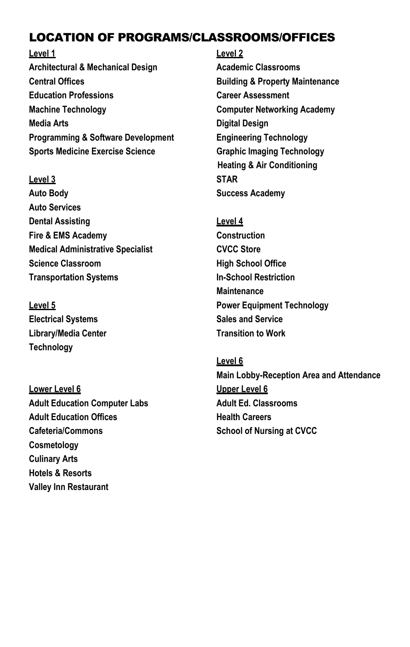# LOCATION OF PROGRAMS/CLASSROOMS/OFFICES

**Level 1 Level 2 Architectural & Mechanical Design Academic Classrooms Central Offices Building & Property Maintenance Education Professions Career Assessment Machine Technology Computer Networking Academy Media Arts Digital Design Programming & Software Development Engineering Technology Sports Medicine Exercise Science Graphic Imaging Technology**

### **Level 3 STAR**

**Auto Body Success Academy Auto Services Dental Assisting Level 4 Fire & EMS Academy Construction Medical Administrative Specialist CVCC Store Science Classroom High School Office Transportation Systems In-School Restriction**

**Electrical Systems Sales and Service Library/Media Center Transition to Work Technology**

**Lower Level 6 Upper Level 6 Adult Education Computer Labs Adult Ed. Classrooms** Adult Education Offices **Manual Education Offices Health Careers Cafeteria/Commons School of Nursing at CVCC Cosmetology Culinary Arts Hotels & Resorts Valley Inn Restaurant**

**Heating & Air Conditioning**

**Maintenance Level 5 Power Equipment Technology**

### **Level 6**

**Main Lobby-Reception Area and Attendance**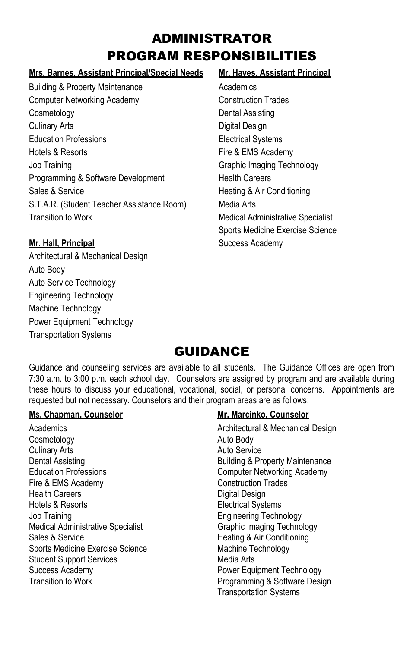# ADMINISTRATOR PROGRAM RESPONSIBILITIES

### **Mrs. Barnes, Assistant Principal/Special Needs Mr. Hayes, Assistant Principal**

Building & Property Maintenance **Academics** Academics Computer Networking Academy Construction Trades Cosmetology Dental Assisting Culinary Arts **Digital Design** Education Professions **Electrical Systems** Hotels & Resorts **Fire & EMS Academy** Job Training Graphic Imaging Technology Programming & Software Development Health Careers Sales & Service **Example 20** Sales & Service **Heating & Air Conditioning** S.T.A.R. (Student Teacher Assistance Room) Media Arts Transition to Work **Medical Administrative Specialist** Medical Administrative Specialist

Architectural & Mechanical Design Auto Body Auto Service Technology Engineering Technology Machine Technology Power Equipment Technology Transportation Systems

Sports Medicine Exercise Science **Mr. Hall, Principal** Success Academy

# **GUIDANCE**

Guidance and counseling services are available to all students. The Guidance Offices are open from 7:30 a.m. to 3:00 p.m. each school day. Counselors are assigned by program and are available during these hours to discuss your educational, vocational, social, or personal concerns. Appointments are requested but not necessary. Counselors and their program areas are as follows:

### **Ms. Chapman, Counselor Mr. Marcinko, Counselor**

Academics **Academics** Architectural & Mechanical Design Cosmetology **Auto** Body **Auto** Body Culinary Arts **Auto Service Auto Service** Dental Assisting **Building & Property Maintenance** Education Professions Computer Networking Academy Fire & EMS Academy **Construction Trades** Health Careers **Digital Design** Hotels & Resorts **Electrical** Systems Job Training **Engineering Technology** Medical Administrative Specialist Graphic Imaging Technology Sales & Service Heating & Air Conditioning Sports Medicine Exercise Science Machine Technology Student Support Services Media Arts Success Academy **Power Equipment Technology** Transition to Work **Programming & Software Design** 

Transportation Systems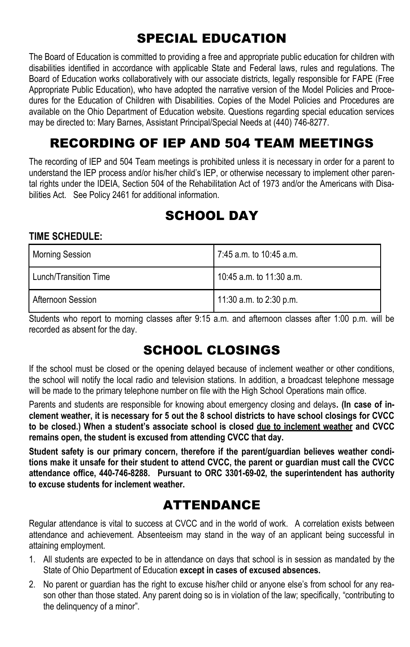# SPECIAL EDUCATION

The Board of Education is committed to providing a free and appropriate public education for children with disabilities identified in accordance with applicable State and Federal laws, rules and regulations. The Board of Education works collaboratively with our associate districts, legally responsible for FAPE (Free Appropriate Public Education), who have adopted the narrative version of the Model Policies and Procedures for the Education of Children with Disabilities. Copies of the Model Policies and Procedures are available on the Ohio Department of Education website. Questions regarding special education services may be directed to: Mary Barnes, Assistant Principal/Special Needs at (440) 746-8277.

# RECORDING OF IEP AND 504 TEAM MEETINGS

The recording of IEP and 504 Team meetings is prohibited unless it is necessary in order for a parent to understand the IEP process and/or his/her child's IEP, or otherwise necessary to implement other parental rights under the IDEIA, Section 504 of the Rehabilitation Act of 1973 and/or the Americans with Disabilities Act. See Policy 2461 for additional information.

# SCHOOL DAY

### **TIME SCHEDULE:**

| <b>Morning Session</b> | 7:45 a.m. to 10:45 a.m.  |  |
|------------------------|--------------------------|--|
| Lunch/Transition Time  | 10:45 a.m. to 11:30 a.m. |  |
| Afternoon Session      | 11:30 a.m. to 2:30 p.m.  |  |

Students who report to morning classes after 9:15 a.m. and afternoon classes after 1:00 p.m. will be recorded as absent for the day.

# SCHOOL CLOSINGS

If the school must be closed or the opening delayed because of inclement weather or other conditions, the school will notify the local radio and television stations. In addition, a broadcast telephone message will be made to the primary telephone number on file with the High School Operations main office.

Parents and students are responsible for knowing about emergency closing and delays**. (In case of inclement weather, it is necessary for 5 out the 8 school districts to have school closings for CVCC to be closed.) When a student's associate school is closed due to inclement weather and CVCC remains open, the student is excused from attending CVCC that day.** 

**Student safety is our primary concern, therefore if the parent/guardian believes weather conditions make it unsafe for their student to attend CVCC, the parent or guardian must call the CVCC attendance office, 440-746-8288. Pursuant to ORC 3301-69-02, the superintendent has authority to excuse students for inclement weather.**

# ATTENDANCE

Regular attendance is vital to success at CVCC and in the world of work. A correlation exists between attendance and achievement. Absenteeism may stand in the way of an applicant being successful in attaining employment.

- 1. All students are expected to be in attendance on days that school is in session as mandated by the State of Ohio Department of Education **except in cases of excused absences.**
- 2. No parent or guardian has the right to excuse his/her child or anyone else's from school for any reason other than those stated. Any parent doing so is in violation of the law; specifically, "contributing to the delinquency of a minor".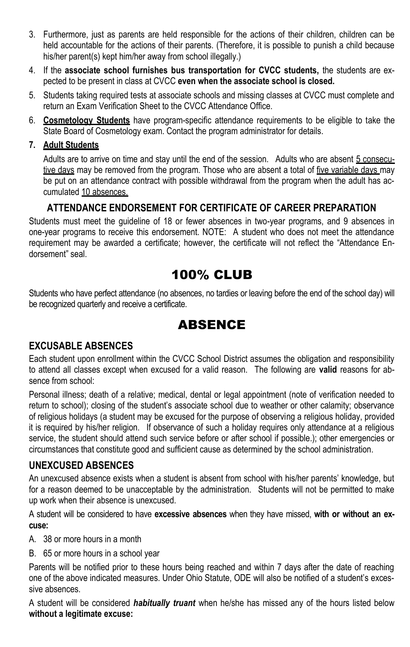- 3. Furthermore, just as parents are held responsible for the actions of their children, children can be held accountable for the actions of their parents. (Therefore, it is possible to punish a child because his/her parent(s) kept him/her away from school illegally.)
- 4. If the **associate school furnishes bus transportation for CVCC students,** the students are expected to be present in class at CVCC **even when the associate school is closed.**
- 5. Students taking required tests at associate schools and missing classes at CVCC must complete and return an Exam Verification Sheet to the CVCC Attendance Office.
- 6. **Cosmetology Students** have program-specific attendance requirements to be eligible to take the State Board of Cosmetology exam. Contact the program administrator for details.

### **7. Adult Students**

Adults are to arrive on time and stay until the end of the session. Adults who are absent 5 consecutive days may be removed from the program. Those who are absent a total of five variable days may be put on an attendance contract with possible withdrawal from the program when the adult has accumulated 10 absences.

### **ATTENDANCE ENDORSEMENT FOR CERTIFICATE OF CAREER PREPARATION**

Students must meet the guideline of 18 or fewer absences in two-year programs, and 9 absences in one-year programs to receive this endorsement. NOTE: A student who does not meet the attendance requirement may be awarded a certificate; however, the certificate will not reflect the "Attendance Endorsement" seal.

# 100% CLUB

Students who have perfect attendance (no absences, no tardies or leaving before the end of the school day) will be recognized quarterly and receive a certificate.

# ABSENCE

### **EXCUSABLE ABSENCES**

Each student upon enrollment within the CVCC School District assumes the obligation and responsibility to attend all classes except when excused for a valid reason. The following are **valid** reasons for absence from school:

Personal illness; death of a relative; medical, dental or legal appointment (note of verification needed to return to school); closing of the student's associate school due to weather or other calamity; observance of religious holidays (a student may be excused for the purpose of observing a religious holiday, provided it is required by his/her religion. If observance of such a holiday requires only attendance at a religious service, the student should attend such service before or after school if possible.); other emergencies or circumstances that constitute good and sufficient cause as determined by the school administration.

### **UNEXCUSED ABSENCES**

An unexcused absence exists when a student is absent from school with his/her parents' knowledge, but for a reason deemed to be unacceptable by the administration. Students will not be permitted to make up work when their absence is unexcused.

A student will be considered to have **excessive absences** when they have missed, **with or without an excuse:**

A. 38 or more hours in a month

B. 65 or more hours in a school year

Parents will be notified prior to these hours being reached and within 7 days after the date of reaching one of the above indicated measures. Under Ohio Statute, ODE will also be notified of a student's excessive absences.

A student will be considered *habitually truant* when he/she has missed any of the hours listed below **without a legitimate excuse:**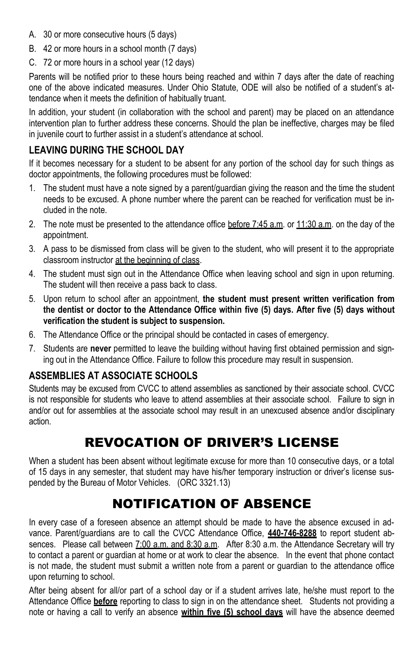- A. 30 or more consecutive hours (5 days)
- B. 42 or more hours in a school month (7 days)
- C. 72 or more hours in a school year (12 days)

Parents will be notified prior to these hours being reached and within 7 days after the date of reaching one of the above indicated measures. Under Ohio Statute, ODE will also be notified of a student's attendance when it meets the definition of habitually truant.

In addition, your student (in collaboration with the school and parent) may be placed on an attendance intervention plan to further address these concerns. Should the plan be ineffective, charges may be filed in juvenile court to further assist in a student's attendance at school.

# **LEAVING DURING THE SCHOOL DAY**

If it becomes necessary for a student to be absent for any portion of the school day for such things as doctor appointments, the following procedures must be followed:

- 1. The student must have a note signed by a parent/guardian giving the reason and the time the student needs to be excused. A phone number where the parent can be reached for verification must be included in the note.
- 2. The note must be presented to the attendance office before 7:45 a.m. or 11:30 a.m. on the day of the appointment.
- 3. A pass to be dismissed from class will be given to the student, who will present it to the appropriate classroom instructor at the beginning of class.
- 4. The student must sign out in the Attendance Office when leaving school and sign in upon returning. The student will then receive a pass back to class.
- 5. Upon return to school after an appointment, **the student must present written verification from the dentist or doctor to the Attendance Office within five (5) days. After five (5) days without verification the student is subject to suspension.**
- 6. The Attendance Office or the principal should be contacted in cases of emergency.
- 7. Students are **never** permitted to leave the building without having first obtained permission and signing out in the Attendance Office. Failure to follow this procedure may result in suspension.

### **ASSEMBLIES AT ASSOCIATE SCHOOLS**

Students may be excused from CVCC to attend assemblies as sanctioned by their associate school. CVCC is not responsible for students who leave to attend assemblies at their associate school. Failure to sign in and/or out for assemblies at the associate school may result in an unexcused absence and/or disciplinary action.

# REVOCATION OF DRIVER'S LICENSE

When a student has been absent without legitimate excuse for more than 10 consecutive days, or a total of 15 days in any semester, that student may have his/her temporary instruction or driver's license suspended by the Bureau of Motor Vehicles. (ORC 3321.13)

# NOTIFICATION OF ABSENCE

In every case of a foreseen absence an attempt should be made to have the absence excused in advance. Parent/guardians are to call the CVCC Attendance Office, **440-746-8288** to report student absences. Please call between 7:00 a.m. and 8:30 a.m. After 8:30 a.m. the Attendance Secretary will try to contact a parent or guardian at home or at work to clear the absence. In the event that phone contact is not made, the student must submit a written note from a parent or guardian to the attendance office upon returning to school.

After being absent for all/or part of a school day or if a student arrives late, he/she must report to the Attendance Office **before** reporting to class to sign in on the attendance sheet. Students not providing a note or having a call to verify an absence **within five (5) school days** will have the absence deemed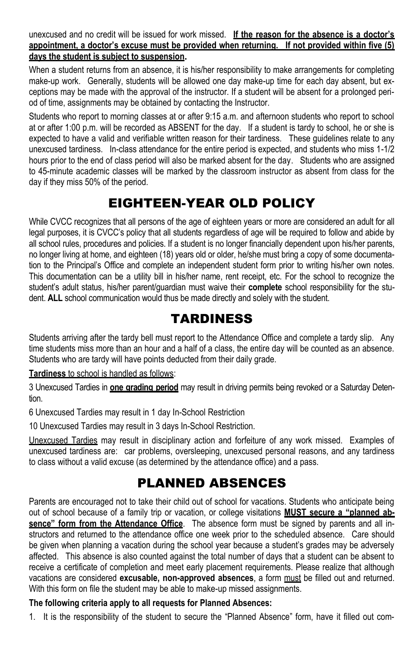unexcused and no credit will be issued for work missed. **If the reason for the absence is a doctor's appointment, a doctor's excuse must be provided when returning. If not provided within five (5) days the student is subject to suspension.**

When a student returns from an absence, it is his/her responsibility to make arrangements for completing make-up work. Generally, students will be allowed one day make-up time for each day absent, but exceptions may be made with the approval of the instructor. If a student will be absent for a prolonged period of time, assignments may be obtained by contacting the Instructor.

Students who report to morning classes at or after 9:15 a.m. and afternoon students who report to school at or after 1:00 p.m. will be recorded as ABSENT for the day. If a student is tardy to school, he or she is expected to have a valid and verifiable written reason for their tardiness. These guidelines relate to any unexcused tardiness. In-class attendance for the entire period is expected, and students who miss 1-1/2 hours prior to the end of class period will also be marked absent for the day. Students who are assigned to 45-minute academic classes will be marked by the classroom instructor as absent from class for the day if they miss 50% of the period.

# EIGHTEEN-YEAR OLD POLICY

While CVCC recognizes that all persons of the age of eighteen years or more are considered an adult for all legal purposes, it is CVCC's policy that all students regardless of age will be required to follow and abide by all school rules, procedures and policies. If a student is no longer financially dependent upon his/her parents, no longer living at home, and eighteen (18) years old or older, he/she must bring a copy of some documentation to the Principal's Office and complete an independent student form prior to writing his/her own notes. This documentation can be a utility bill in his/her name, rent receipt, etc. For the school to recognize the student's adult status, his/her parent/guardian must waive their **complete** school responsibility for the student. **ALL** school communication would thus be made directly and solely with the student.

# TARDINESS

Students arriving after the tardy bell must report to the Attendance Office and complete a tardy slip. Any time students miss more than an hour and a half of a class, the entire day will be counted as an absence. Students who are tardy will have points deducted from their daily grade.

### **Tardiness** to school is handled as follows:

3 Unexcused Tardies in **one grading period** may result in driving permits being revoked or a Saturday Detention.

6 Unexcused Tardies may result in 1 day In-School Restriction

10 Unexcused Tardies may result in 3 days In-School Restriction.

Unexcused Tardies may result in disciplinary action and forfeiture of any work missed. Examples of unexcused tardiness are: car problems, oversleeping, unexcused personal reasons, and any tardiness to class without a valid excuse (as determined by the attendance office) and a pass.

# PLANNED ABSENCES

Parents are encouraged not to take their child out of school for vacations. Students who anticipate being out of school because of a family trip or vacation, or college visitations **MUST secure a "planned absence" form from the Attendance Office**. The absence form must be signed by parents and all instructors and returned to the attendance office one week prior to the scheduled absence. Care should be given when planning a vacation during the school year because a student's grades may be adversely affected. This absence is also counted against the total number of days that a student can be absent to receive a certificate of completion and meet early placement requirements. Please realize that although vacations are considered **excusable, non-approved absences**, a form must be filled out and returned. With this form on file the student may be able to make-up missed assignments.

### **The following criteria apply to all requests for Planned Absences:**

1. It is the responsibility of the student to secure the "Planned Absence" form, have it filled out com-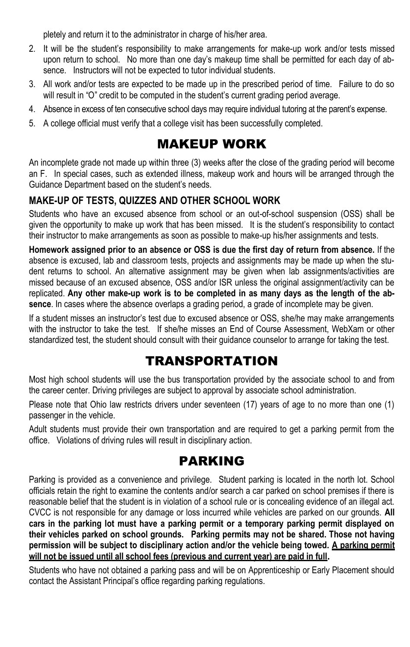pletely and return it to the administrator in charge of his/her area.

- 2. It will be the student's responsibility to make arrangements for make-up work and/or tests missed upon return to school. No more than one day's makeup time shall be permitted for each day of absence. Instructors will not be expected to tutor individual students.
- 3. All work and/or tests are expected to be made up in the prescribed period of time. Failure to do so will result in "O" credit to be computed in the student's current grading period average.
- 4. Absence in excess of ten consecutive school days may require individual tutoring at the parent's expense.
- 5. A college official must verify that a college visit has been successfully completed.

# MAKEUP WORK

An incomplete grade not made up within three (3) weeks after the close of the grading period will become an F. In special cases, such as extended illness, makeup work and hours will be arranged through the Guidance Department based on the student's needs.

# **MAKE-UP OF TESTS, QUIZZES AND OTHER SCHOOL WORK**

Students who have an excused absence from school or an out-of-school suspension (OSS) shall be given the opportunity to make up work that has been missed. It is the student's responsibility to contact their instructor to make arrangements as soon as possible to make-up his/her assignments and tests.

**Homework assigned prior to an absence or OSS is due the first day of return from absence.** If the absence is excused, lab and classroom tests, projects and assignments may be made up when the student returns to school. An alternative assignment may be given when lab assignments/activities are missed because of an excused absence, OSS and/or ISR unless the original assignment/activity can be replicated. **Any other make-up work is to be completed in as many days as the length of the absence**. In cases where the absence overlaps a grading period, a grade of incomplete may be given.

If a student misses an instructor's test due to excused absence or OSS, she/he may make arrangements with the instructor to take the test. If she/he misses an End of Course Assessment, WebXam or other standardized test, the student should consult with their guidance counselor to arrange for taking the test.

# TRANSPORTATION

Most high school students will use the bus transportation provided by the associate school to and from the career center. Driving privileges are subject to approval by associate school administration.

Please note that Ohio law restricts drivers under seventeen (17) years of age to no more than one (1) passenger in the vehicle.

Adult students must provide their own transportation and are required to get a parking permit from the office. Violations of driving rules will result in disciplinary action.

# PARKING

Parking is provided as a convenience and privilege. Student parking is located in the north lot. School officials retain the right to examine the contents and/or search a car parked on school premises if there is reasonable belief that the student is in violation of a school rule or is concealing evidence of an illegal act. CVCC is not responsible for any damage or loss incurred while vehicles are parked on our grounds. **All cars in the parking lot must have a parking permit or a temporary parking permit displayed on their vehicles parked on school grounds. Parking permits may not be shared. Those not having**  permission will be subject to disciplinary action and/or the vehicle being towed. A parking permit **will not be issued until all school fees (previous and current year) are paid in full.**

Students who have not obtained a parking pass and will be on Apprenticeship or Early Placement should contact the Assistant Principal's office regarding parking regulations.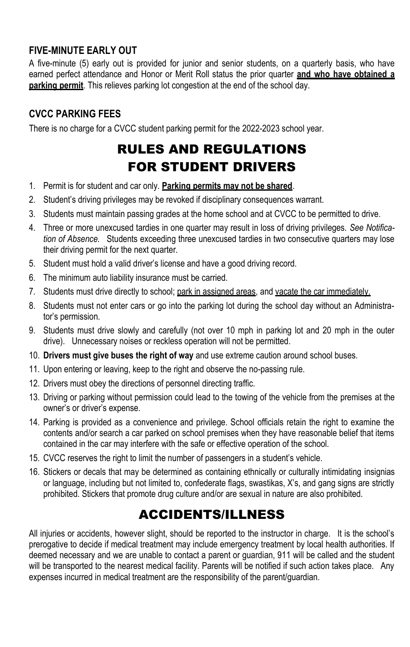# **FIVE-MINUTE EARLY OUT**

A five-minute (5) early out is provided for junior and senior students, on a quarterly basis, who have earned perfect attendance and Honor or Merit Roll status the prior quarter **and who have obtained a parking permit**. This relieves parking lot congestion at the end of the school day.

# **CVCC PARKING FEES**

There is no charge for a CVCC student parking permit for the 2022-2023 school year.

# RULES AND REGULATIONS FOR STUDENT DRIVERS

- 1. Permit is for student and car only. **Parking permits may not be shared**.
- 2. Student's driving privileges may be revoked if disciplinary consequences warrant.
- 3. Students must maintain passing grades at the home school and at CVCC to be permitted to drive.
- 4. Three or more unexcused tardies in one quarter may result in loss of driving privileges. *See Notification of Absence.* Students exceeding three unexcused tardies in two consecutive quarters may lose their driving permit for the next quarter.
- 5. Student must hold a valid driver's license and have a good driving record.
- 6. The minimum auto liability insurance must be carried.
- 7. Students must drive directly to school; park in assigned areas, and vacate the car immediately.
- 8. Students must not enter cars or go into the parking lot during the school day without an Administrator's permission.
- 9. Students must drive slowly and carefully (not over 10 mph in parking lot and 20 mph in the outer drive). Unnecessary noises or reckless operation will not be permitted.
- 10. **Drivers must give buses the right of way** and use extreme caution around school buses.
- 11. Upon entering or leaving, keep to the right and observe the no-passing rule.
- 12. Drivers must obey the directions of personnel directing traffic.
- 13. Driving or parking without permission could lead to the towing of the vehicle from the premises at the owner's or driver's expense.
- 14. Parking is provided as a convenience and privilege. School officials retain the right to examine the contents and/or search a car parked on school premises when they have reasonable belief that items contained in the car may interfere with the safe or effective operation of the school.
- 15. CVCC reserves the right to limit the number of passengers in a student's vehicle.
- 16. Stickers or decals that may be determined as containing ethnically or culturally intimidating insignias or language, including but not limited to, confederate flags, swastikas, X's, and gang signs are strictly prohibited. Stickers that promote drug culture and/or are sexual in nature are also prohibited.

# ACCIDENTS/ILLNESS

All injuries or accidents, however slight, should be reported to the instructor in charge. It is the school's prerogative to decide if medical treatment may include emergency treatment by local health authorities. If deemed necessary and we are unable to contact a parent or guardian, 911 will be called and the student will be transported to the nearest medical facility. Parents will be notified if such action takes place. Any expenses incurred in medical treatment are the responsibility of the parent/guardian.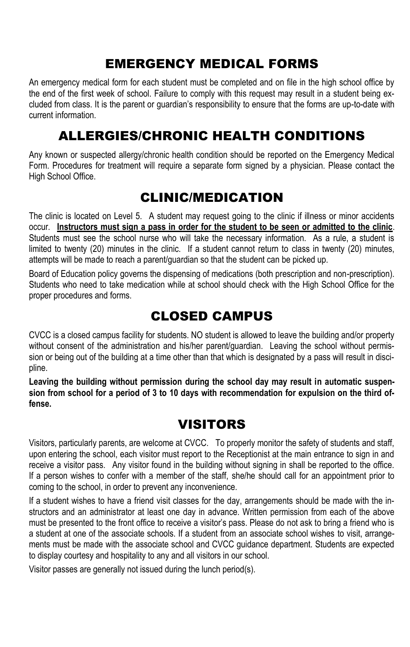# EMERGENCY MEDICAL FORMS

An emergency medical form for each student must be completed and on file in the high school office by the end of the first week of school. Failure to comply with this request may result in a student being excluded from class. It is the parent or guardian's responsibility to ensure that the forms are up-to-date with current information.

# ALLERGIES/CHRONIC HEALTH CONDITIONS

Any known or suspected allergy/chronic health condition should be reported on the Emergency Medical Form. Procedures for treatment will require a separate form signed by a physician. Please contact the High School Office.

# CLINIC/MEDICATION

The clinic is located on Level 5. A student may request going to the clinic if illness or minor accidents occur. **Instructors must sign a pass in order for the student to be seen or admitted to the clinic**. Students must see the school nurse who will take the necessary information. As a rule, a student is limited to twenty (20) minutes in the clinic. If a student cannot return to class in twenty (20) minutes, attempts will be made to reach a parent/guardian so that the student can be picked up.

Board of Education policy governs the dispensing of medications (both prescription and non-prescription). Students who need to take medication while at school should check with the High School Office for the proper procedures and forms.

# CLOSED CAMPUS

CVCC is a closed campus facility for students. NO student is allowed to leave the building and/or property without consent of the administration and his/her parent/guardian. Leaving the school without permission or being out of the building at a time other than that which is designated by a pass will result in discipline.

**Leaving the building without permission during the school day may result in automatic suspension from school for a period of 3 to 10 days with recommendation for expulsion on the third offense.**

# VISITORS

Visitors, particularly parents, are welcome at CVCC. To properly monitor the safety of students and staff, upon entering the school, each visitor must report to the Receptionist at the main entrance to sign in and receive a visitor pass. Any visitor found in the building without signing in shall be reported to the office. If a person wishes to confer with a member of the staff, she/he should call for an appointment prior to coming to the school, in order to prevent any inconvenience.

If a student wishes to have a friend visit classes for the day, arrangements should be made with the instructors and an administrator at least one day in advance. Written permission from each of the above must be presented to the front office to receive a visitor's pass. Please do not ask to bring a friend who is a student at one of the associate schools. If a student from an associate school wishes to visit, arrangements must be made with the associate school and CVCC guidance department. Students are expected to display courtesy and hospitality to any and all visitors in our school.

Visitor passes are generally not issued during the lunch period(s).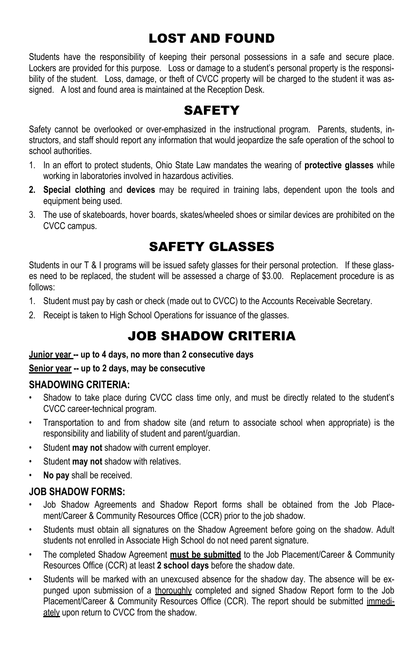# LOST AND FOUND

Students have the responsibility of keeping their personal possessions in a safe and secure place. Lockers are provided for this purpose. Loss or damage to a student's personal property is the responsibility of the student. Loss, damage, or theft of CVCC property will be charged to the student it was assigned. A lost and found area is maintained at the Reception Desk.

# **SAFETY**

Safety cannot be overlooked or over-emphasized in the instructional program. Parents, students, instructors, and staff should report any information that would jeopardize the safe operation of the school to school authorities.

- 1. In an effort to protect students, Ohio State Law mandates the wearing of **protective glasses** while working in laboratories involved in hazardous activities.
- **2. Special clothing** and **devices** may be required in training labs, dependent upon the tools and equipment being used.
- 3. The use of skateboards, hover boards, skates/wheeled shoes or similar devices are prohibited on the CVCC campus.

# SAFETY GLASSES

Students in our T & I programs will be issued safety glasses for their personal protection. If these glasses need to be replaced, the student will be assessed a charge of \$3.00. Replacement procedure is as follows:

- 1. Student must pay by cash or check (made out to CVCC) to the Accounts Receivable Secretary.
- 2. Receipt is taken to High School Operations for issuance of the glasses.

# JOB SHADOW CRITERIA

### **Junior year -- up to 4 days, no more than 2 consecutive days**

### **Senior year -- up to 2 days, may be consecutive**

### **SHADOWING CRITERIA:**

- Shadow to take place during CVCC class time only, and must be directly related to the student's CVCC career-technical program.
- Transportation to and from shadow site (and return to associate school when appropriate) is the responsibility and liability of student and parent/guardian.
- Student **may not** shadow with current employer.
- Student **may not** shadow with relatives.
- **No pay** shall be received.

### **JOB SHADOW FORMS:**

- Job Shadow Agreements and Shadow Report forms shall be obtained from the Job Placement/Career & Community Resources Office (CCR) prior to the job shadow.
- Students must obtain all signatures on the Shadow Agreement before going on the shadow. Adult students not enrolled in Associate High School do not need parent signature.
- The completed Shadow Agreement **must be submitted** to the Job Placement/Career & Community Resources Office (CCR) at least **2 school days** before the shadow date.
- Students will be marked with an unexcused absence for the shadow day. The absence will be expunged upon submission of a *thoroughly* completed and signed Shadow Report form to the Job Placement/Career & Community Resources Office (CCR). The report should be submitted immediately upon return to CVCC from the shadow.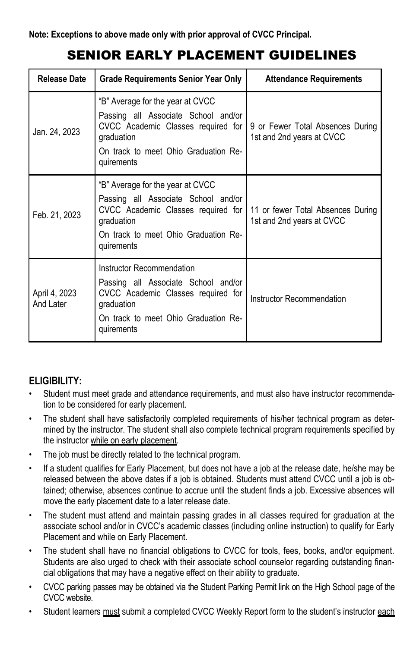# SENIOR EARLY PLACEMENT GUIDELINES

| Release Date               | <b>Grade Requirements Senior Year Only</b>                                                                                                                                        | <b>Attendance Requirements</b>                                 |
|----------------------------|-----------------------------------------------------------------------------------------------------------------------------------------------------------------------------------|----------------------------------------------------------------|
| Jan. 24, 2023              | "B" Average for the year at CVCC<br>Passing all Associate School and/or<br>CVCC Academic Classes required for<br>graduation<br>On track to meet Ohio Graduation Re-<br>quirements | 9 or Fewer Total Absences During<br>1st and 2nd years at CVCC  |
| Feb. 21, 2023              | "B" Average for the year at CVCC<br>Passing all Associate School and/or<br>CVCC Academic Classes required for<br>graduation<br>On track to meet Ohio Graduation Re-<br>quirements | 11 or fewer Total Absences During<br>1st and 2nd years at CVCC |
| April 4, 2023<br>And Later | Instructor Recommendation<br>Passing all Associate School and/or<br>CVCC Academic Classes required for<br>graduation<br>On track to meet Ohio Graduation Re-<br>quirements        | Instructor Recommendation                                      |

# **ELIGIBILITY:**

- Student must meet grade and attendance requirements, and must also have instructor recommendation to be considered for early placement.
- The student shall have satisfactorily completed requirements of his/her technical program as determined by the instructor. The student shall also complete technical program requirements specified by the instructor while on early placement.
- The job must be directly related to the technical program.
- If a student qualifies for Early Placement, but does not have a job at the release date, he/she may be released between the above dates if a job is obtained. Students must attend CVCC until a job is obtained; otherwise, absences continue to accrue until the student finds a job. Excessive absences will move the early placement date to a later release date.
- The student must attend and maintain passing grades in all classes required for graduation at the associate school and/or in CVCC's academic classes (including online instruction) to qualify for Early Placement and while on Early Placement.
- The student shall have no financial obligations to CVCC for tools, fees, books, and/or equipment. Students are also urged to check with their associate school counselor regarding outstanding financial obligations that may have a negative effect on their ability to graduate.
- CVCC parking passes may be obtained via the Student Parking Permit link on the High School page of the CVCC website.
- Student learners must submit a completed CVCC Weekly Report form to the student's instructor each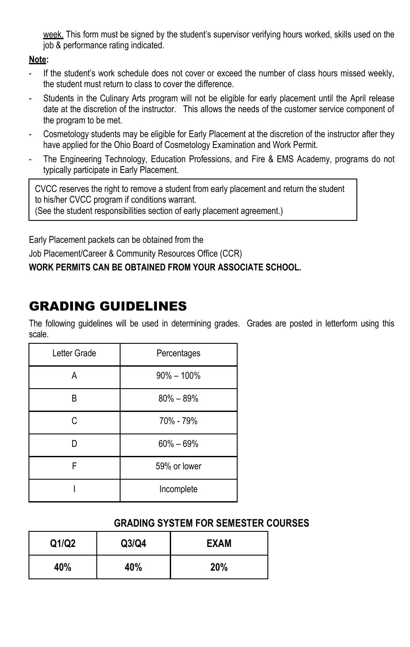week. This form must be signed by the student's supervisor verifying hours worked, skills used on the job & performance rating indicated.

### **Note:**

- If the student's work schedule does not cover or exceed the number of class hours missed weekly, the student must return to class to cover the difference.
- Students in the Culinary Arts program will not be eligible for early placement until the April release date at the discretion of the instructor. This allows the needs of the customer service component of the program to be met.
- Cosmetology students may be eligible for Early Placement at the discretion of the instructor after they have applied for the Ohio Board of Cosmetology Examination and Work Permit.
- The Engineering Technology, Education Professions, and Fire & EMS Academy, programs do not typically participate in Early Placement.

CVCC reserves the right to remove a student from early placement and return the student to his/her CVCC program if conditions warrant. (See the student responsibilities section of early placement agreement.)

Early Placement packets can be obtained from the

Job Placement/Career & Community Resources Office (CCR)

### **WORK PERMITS CAN BE OBTAINED FROM YOUR ASSOCIATE SCHOOL.**

# GRADING GUIDELINES

The following guidelines will be used in determining grades. Grades are posted in letterform using this scale.

| Letter Grade | Percentages    |  |
|--------------|----------------|--|
| Α            | $90\% - 100\%$ |  |
| B            | $80\% - 89\%$  |  |
| C            | 70% - 79%      |  |
| D            | $60\% - 69\%$  |  |
| F            | 59% or lower   |  |
|              | Incomplete     |  |

### **GRADING SYSTEM FOR SEMESTER COURSES**

| Q1/Q2 | Q3/Q4 | <b>EXAM</b> |
|-------|-------|-------------|
| 40%   | 40%   | <b>20%</b>  |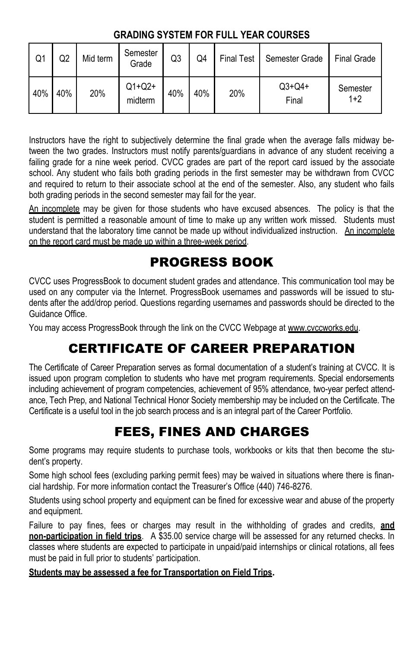### **GRADING SYSTEM FOR FULL YEAR COURSES**

| Q1  | Q2  | Mid term | Semester<br>Grade   | Q3  | Q4  | <b>Final Test</b> | Semester Grade    | <b>Final Grade</b> |
|-----|-----|----------|---------------------|-----|-----|-------------------|-------------------|--------------------|
| 40% | 40% | 20%      | $Q1+Q2+$<br>midterm | 40% | 40% | 20%               | $Q3+Q4+$<br>Final | Semester<br>$1+2$  |

Instructors have the right to subjectively determine the final grade when the average falls midway between the two grades. Instructors must notify parents/guardians in advance of any student receiving a failing grade for a nine week period. CVCC grades are part of the report card issued by the associate school. Any student who fails both grading periods in the first semester may be withdrawn from CVCC and required to return to their associate school at the end of the semester. Also, any student who fails both grading periods in the second semester may fail for the year.

An incomplete may be given for those students who have excused absences. The policy is that the student is permitted a reasonable amount of time to make up any written work missed. Students must understand that the laboratory time cannot be made up without individualized instruction. An incomplete on the report card must be made up within a three-week period.

# PROGRESS BOOK

CVCC uses ProgressBook to document student grades and attendance. This communication tool may be used on any computer via the Internet. ProgressBook usernames and passwords will be issued to students after the add/drop period. Questions regarding usernames and passwords should be directed to the Guidance Office.

You may access ProgressBook through the link on the CVCC Webpage at www.cvccworks.edu.

# CERTIFICATE OF CAREER PREPARATION

The Certificate of Career Preparation serves as formal documentation of a student's training at CVCC. It is issued upon program completion to students who have met program requirements. Special endorsements including achievement of program competencies, achievement of 95% attendance, two-year perfect attendance, Tech Prep, and National Technical Honor Society membership may be included on the Certificate. The Certificate is a useful tool in the job search process and is an integral part of the Career Portfolio.

# FEES, FINES AND CHARGES

Some programs may require students to purchase tools, workbooks or kits that then become the student's property.

Some high school fees (excluding parking permit fees) may be waived in situations where there is financial hardship. For more information contact the Treasurer's Office (440) 746-8276.

Students using school property and equipment can be fined for excessive wear and abuse of the property and equipment.

Failure to pay fines, fees or charges may result in the withholding of grades and credits, **and non-participation in field trips**. A \$35.00 service charge will be assessed for any returned checks. In classes where students are expected to participate in unpaid/paid internships or clinical rotations, all fees must be paid in full prior to students' participation.

### **Students may be assessed a fee for Transportation on Field Trips.**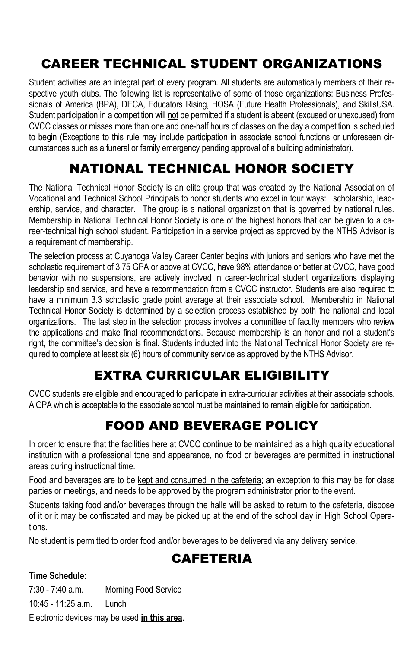# CAREER TECHNICAL STUDENT ORGANIZATIONS

Student activities are an integral part of every program. All students are automatically members of their respective youth clubs. The following list is representative of some of those organizations: Business Professionals of America (BPA), DECA, Educators Rising, HOSA (Future Health Professionals), and SkillsUSA. Student participation in a competition will not be permitted if a student is absent (excused or unexcused) from CVCC classes or misses more than one and one-half hours of classes on the day a competition is scheduled to begin (Exceptions to this rule may include participation in associate school functions or unforeseen circumstances such as a funeral or family emergency pending approval of a building administrator).

# NATIONAL TECHNICAL HONOR SOCIETY

The National Technical Honor Society is an elite group that was created by the National Association of Vocational and Technical School Principals to honor students who excel in four ways: scholarship, leadership, service, and character. The group is a national organization that is governed by national rules. Membership in National Technical Honor Society is one of the highest honors that can be given to a career-technical high school student. Participation in a service project as approved by the NTHS Advisor is a requirement of membership.

The selection process at Cuyahoga Valley Career Center begins with juniors and seniors who have met the scholastic requirement of 3.75 GPA or above at CVCC, have 98% attendance or better at CVCC, have good behavior with no suspensions, are actively involved in career-technical student organizations displaying leadership and service, and have a recommendation from a CVCC instructor. Students are also required to have a minimum 3.3 scholastic grade point average at their associate school. Membership in National Technical Honor Society is determined by a selection process established by both the national and local organizations. The last step in the selection process involves a committee of faculty members who review the applications and make final recommendations. Because membership is an honor and not a student's right, the committee's decision is final. Students inducted into the National Technical Honor Society are required to complete at least six (6) hours of community service as approved by the NTHS Advisor.

# EXTRA CURRICULAR ELIGIBILITY

CVCC students are eligible and encouraged to participate in extra-curricular activities at their associate schools. A GPA which is acceptable to the associate school must be maintained to remain eligible for participation.

# FOOD AND BEVERAGE POLICY

In order to ensure that the facilities here at CVCC continue to be maintained as a high quality educational institution with a professional tone and appearance, no food or beverages are permitted in instructional areas during instructional time.

Food and beverages are to be kept and consumed in the cafeteria; an exception to this may be for class parties or meetings, and needs to be approved by the program administrator prior to the event.

Students taking food and/or beverages through the halls will be asked to return to the cafeteria, dispose of it or it may be confiscated and may be picked up at the end of the school day in High School Operations.

No student is permitted to order food and/or beverages to be delivered via any delivery service.

# **CAFETERIA**

### **Time Schedule**:

7:30 - 7:40 a.m. Morning Food Service 10:45 - 11:25 a.m. Lunch Electronic devices may be used **in this area**.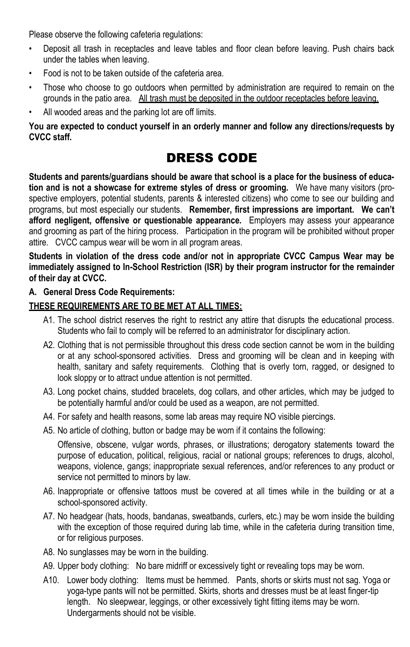Please observe the following cafeteria regulations:

- Deposit all trash in receptacles and leave tables and floor clean before leaving. Push chairs back under the tables when leaving.
- Food is not to be taken outside of the cafeteria area.
- Those who choose to go outdoors when permitted by administration are required to remain on the grounds in the patio area. All trash must be deposited in the outdoor receptacles before leaving.
- All wooded areas and the parking lot are off limits.

**You are expected to conduct yourself in an orderly manner and follow any directions/requests by CVCC staff.**

# DRESS CODE

**Students and parents/guardians should be aware that school is a place for the business of education and is not a showcase for extreme styles of dress or grooming.** We have many visitors (prospective employers, potential students, parents & interested citizens) who come to see our building and programs, but most especially our students. **Remember, first impressions are important. We can't afford negligent, offensive or questionable appearance.** Employers may assess your appearance and grooming as part of the hiring process. Participation in the program will be prohibited without proper attire. CVCC campus wear will be worn in all program areas.

**Students in violation of the dress code and/or not in appropriate CVCC Campus Wear may be immediately assigned to In-School Restriction (ISR) by their program instructor for the remainder of their day at CVCC.** 

### **A. General Dress Code Requirements:**

### **THESE REQUIREMENTS ARE TO BE MET AT ALL TIMES:**

- A1. The school district reserves the right to restrict any attire that disrupts the educational process. Students who fail to comply will be referred to an administrator for disciplinary action.
- A2. Clothing that is not permissible throughout this dress code section cannot be worn in the building or at any school-sponsored activities. Dress and grooming will be clean and in keeping with health, sanitary and safety requirements. Clothing that is overly torn, ragged, or designed to look sloppy or to attract undue attention is not permitted.
- A3. Long pocket chains, studded bracelets, dog collars, and other articles, which may be judged to be potentially harmful and/or could be used as a weapon, are not permitted.
- A4. For safety and health reasons, some lab areas may require NO visible piercings.
- A5. No article of clothing, button or badge may be worn if it contains the following:

Offensive, obscene, vulgar words, phrases, or illustrations; derogatory statements toward the purpose of education, political, religious, racial or national groups; references to drugs, alcohol, weapons, violence, gangs; inappropriate sexual references, and/or references to any product or service not permitted to minors by law.

- A6. Inappropriate or offensive tattoos must be covered at all times while in the building or at a school-sponsored activity.
- A7. No headgear (hats, hoods, bandanas, sweatbands, curlers, etc.) may be worn inside the building with the exception of those required during lab time, while in the cafeteria during transition time, or for religious purposes.
- A8. No sunglasses may be worn in the building.
- A9. Upper body clothing: No bare midriff or excessively tight or revealing tops may be worn.
- A10. Lower body clothing: Items must be hemmed. Pants, shorts or skirts must not sag. Yoga or yoga-type pants will not be permitted. Skirts, shorts and dresses must be at least finger-tip length. No sleepwear, leggings, or other excessively tight fitting items may be worn. Undergarments should not be visible.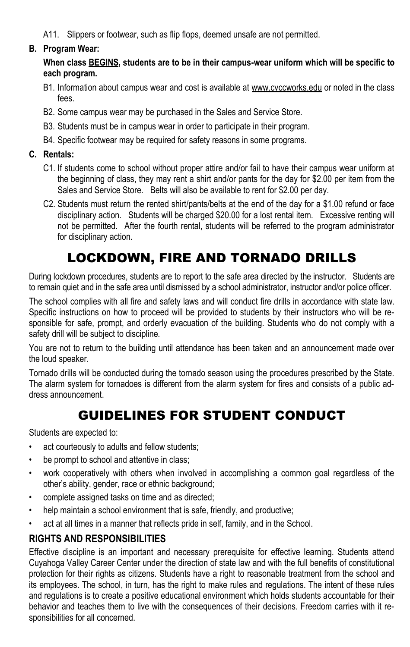A11. Slippers or footwear, such as flip flops, deemed unsafe are not permitted.

### **B. Program Wear:**

**When class BEGINS, students are to be in their campus-wear uniform which will be specific to each program.**

- B1. Information about campus wear and cost is available at www.cvccworks.edu or noted in the class fees.
- B2. Some campus wear may be purchased in the Sales and Service Store.
- B3. Students must be in campus wear in order to participate in their program.
- B4. Specific footwear may be required for safety reasons in some programs.

### **C. Rentals:**

- C1. If students come to school without proper attire and/or fail to have their campus wear uniform at the beginning of class, they may rent a shirt and/or pants for the day for \$2.00 per item from the Sales and Service Store. Belts will also be available to rent for \$2.00 per day.
- C2. Students must return the rented shirt/pants/belts at the end of the day for a \$1.00 refund or face disciplinary action. Students will be charged \$20.00 for a lost rental item. Excessive renting will not be permitted. After the fourth rental, students will be referred to the program administrator for disciplinary action.

# LOCKDOWN, FIRE AND TORNADO DRILLS

During lockdown procedures, students are to report to the safe area directed by the instructor. Students are to remain quiet and in the safe area until dismissed by a school administrator, instructor and/or police officer.

The school complies with all fire and safety laws and will conduct fire drills in accordance with state law. Specific instructions on how to proceed will be provided to students by their instructors who will be responsible for safe, prompt, and orderly evacuation of the building. Students who do not comply with a safety drill will be subject to discipline.

You are not to return to the building until attendance has been taken and an announcement made over the loud speaker.

Tornado drills will be conducted during the tornado season using the procedures prescribed by the State. The alarm system for tornadoes is different from the alarm system for fires and consists of a public address announcement.

# GUIDELINES FOR STUDENT CONDUCT

Students are expected to:

- act courteously to adults and fellow students;
- be prompt to school and attentive in class;
- work cooperatively with others when involved in accomplishing a common goal regardless of the other's ability, gender, race or ethnic background;
- complete assigned tasks on time and as directed;
- help maintain a school environment that is safe, friendly, and productive;
- act at all times in a manner that reflects pride in self, family, and in the School.

# **RIGHTS AND RESPONSIBILITIES**

Effective discipline is an important and necessary prerequisite for effective learning. Students attend Cuyahoga Valley Career Center under the direction of state law and with the full benefits of constitutional protection for their rights as citizens. Students have a right to reasonable treatment from the school and its employees. The school, in turn, has the right to make rules and regulations. The intent of these rules and regulations is to create a positive educational environment which holds students accountable for their behavior and teaches them to live with the consequences of their decisions. Freedom carries with it responsibilities for all concerned.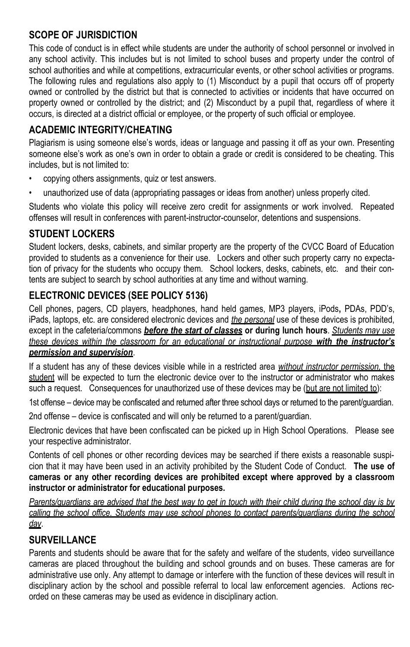# **SCOPE OF JURISDICTION**

This code of conduct is in effect while students are under the authority of school personnel or involved in any school activity. This includes but is not limited to school buses and property under the control of school authorities and while at competitions, extracurricular events, or other school activities or programs. The following rules and regulations also apply to (1) Misconduct by a pupil that occurs off of property owned or controlled by the district but that is connected to activities or incidents that have occurred on property owned or controlled by the district; and (2) Misconduct by a pupil that, regardless of where it occurs, is directed at a district official or employee, or the property of such official or employee.

### **ACADEMIC INTEGRITY/CHEATING**

Plagiarism is using someone else's words, ideas or language and passing it off as your own. Presenting someone else's work as one's own in order to obtain a grade or credit is considered to be cheating. This includes, but is not limited to:

- copying others assignments, quiz or test answers.
- unauthorized use of data (appropriating passages or ideas from another) unless properly cited.

Students who violate this policy will receive zero credit for assignments or work involved. Repeated offenses will result in conferences with parent-instructor-counselor, detentions and suspensions.

### **STUDENT LOCKERS**

Student lockers, desks, cabinets, and similar property are the property of the CVCC Board of Education provided to students as a convenience for their use. Lockers and other such property carry no expectation of privacy for the students who occupy them. School lockers, desks, cabinets, etc. and their contents are subject to search by school authorities at any time and without warning.

# **ELECTRONIC DEVICES (SEE POLICY 5136)**

Cell phones, pagers, CD players, headphones, hand held games, MP3 players, iPods**,** PDAs, PDD's, iPads, laptops, etc. are considered electronic devices and *the personal* use of these devices is prohibited, except in the cafeteria/commons *before the start of classes* **or during lunch hours**. *Students may use these devices within the classroom for an educational or instructional purpose with the instructor's permission and supervision*.

If a student has any of these devices visible while in a restricted area *without instructor permission,* the student will be expected to turn the electronic device over to the instructor or administrator who makes such a request. Consequences for unauthorized use of these devices may be (but are not limited to):

1st offense – device may be confiscated and returned after three school days or returned to the parent/guardian.

2nd offense – device is confiscated and will only be returned to a parent/guardian.

Electronic devices that have been confiscated can be picked up in High School Operations. Please see your respective administrator.

Contents of cell phones or other recording devices may be searched if there exists a reasonable suspicion that it may have been used in an activity prohibited by the Student Code of Conduct. **The use of cameras or any other recording devices are prohibited except where approved by a classroom instructor or administrator for educational purposes.**

*Parents/guardians are advised that the best way to get in touch with their child during the school day is by calling the school office. Students may use school phones to contact parents/guardians during the school day*.

### **SURVEILLANCE**

Parents and students should be aware that for the safety and welfare of the students, video surveillance cameras are placed throughout the building and school grounds and on buses. These cameras are for administrative use only. Any attempt to damage or interfere with the function of these devices will result in disciplinary action by the school and possible referral to local law enforcement agencies. Actions recorded on these cameras may be used as evidence in disciplinary action.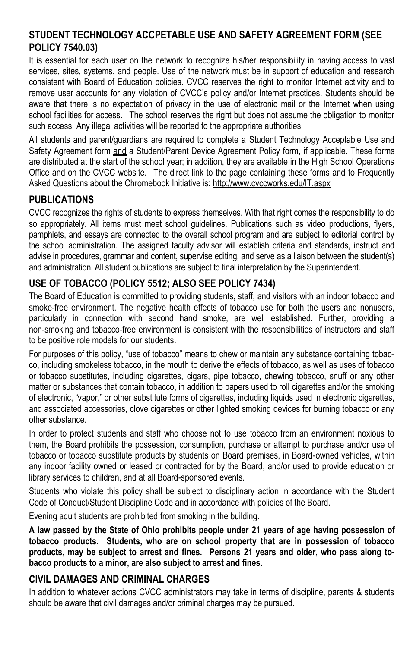### **STUDENT TECHNOLOGY ACCPETABLE USE AND SAFETY AGREEMENT FORM (SEE POLICY 7540.03)**

It is essential for each user on the network to recognize his/her responsibility in having access to vast services, sites, systems, and people. Use of the network must be in support of education and research consistent with Board of Education policies. CVCC reserves the right to monitor Internet activity and to remove user accounts for any violation of CVCC's policy and/or Internet practices. Students should be aware that there is no expectation of privacy in the use of electronic mail or the Internet when using school facilities for access. The school reserves the right but does not assume the obligation to monitor such access. Any illegal activities will be reported to the appropriate authorities.

All students and parent/guardians are required to complete a Student Technology Acceptable Use and Safety Agreement form and a Student/Parent Device Agreement Policy form, if applicable. These forms are distributed at the start of the school year; in addition, they are available in the High School Operations Office and on the CVCC website. The direct link to the page containing these forms and to Frequently Asked Questions about the Chromebook Initiative is: http://www.cvccworks.edu/IT.aspx

### **PUBLICATIONS**

CVCC recognizes the rights of students to express themselves. With that right comes the responsibility to do so appropriately. All items must meet school quidelines. Publications such as video productions, flyers, pamphlets, and essays are connected to the overall school program and are subject to editorial control by the school administration. The assigned faculty advisor will establish criteria and standards, instruct and advise in procedures, grammar and content, supervise editing, and serve as a liaison between the student(s) and administration. All student publications are subject to final interpretation by the Superintendent.

### **USE OF TOBACCO (POLICY 5512; ALSO SEE POLICY 7434)**

The Board of Education is committed to providing students, staff, and visitors with an indoor tobacco and smoke-free environment. The negative health effects of tobacco use for both the users and nonusers, particularly in connection with second hand smoke, are well established. Further, providing a non-smoking and tobacco-free environment is consistent with the responsibilities of instructors and staff to be positive role models for our students.

For purposes of this policy, "use of tobacco" means to chew or maintain any substance containing tobacco, including smokeless tobacco, in the mouth to derive the effects of tobacco, as well as uses of tobacco or tobacco substitutes, including cigarettes, cigars, pipe tobacco, chewing tobacco, snuff or any other matter or substances that contain tobacco, in addition to papers used to roll cigarettes and/or the smoking of electronic, "vapor," or other substitute forms of cigarettes, including liquids used in electronic cigarettes, and associated accessories, clove cigarettes or other lighted smoking devices for burning tobacco or any other substance.

In order to protect students and staff who choose not to use tobacco from an environment noxious to them, the Board prohibits the possession, consumption, purchase or attempt to purchase and/or use of tobacco or tobacco substitute products by students on Board premises, in Board-owned vehicles, within any indoor facility owned or leased or contracted for by the Board, and/or used to provide education or library services to children, and at all Board-sponsored events.

Students who violate this policy shall be subject to disciplinary action in accordance with the Student Code of Conduct/Student Discipline Code and in accordance with policies of the Board.

Evening adult students are prohibited from smoking in the building.

**A law passed by the State of Ohio prohibits people under 21 years of age having possession of tobacco products. Students, who are on school property that are in possession of tobacco products, may be subject to arrest and fines. Persons 21 years and older, who pass along tobacco products to a minor, are also subject to arrest and fines.**

### **CIVIL DAMAGES AND CRIMINAL CHARGES**

In addition to whatever actions CVCC administrators may take in terms of discipline, parents & students should be aware that civil damages and/or criminal charges may be pursued.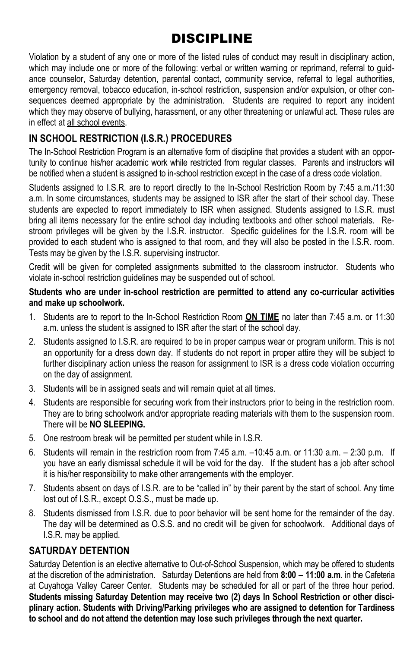# DISCIPLINE

Violation by a student of any one or more of the listed rules of conduct may result in disciplinary action, which may include one or more of the following: verbal or written warning or reprimand, referral to guidance counselor, Saturday detention, parental contact, community service, referral to legal authorities, emergency removal, tobacco education, in-school restriction, suspension and/or expulsion, or other consequences deemed appropriate by the administration. Students are required to report any incident which they may observe of bullying, harassment, or any other threatening or unlawful act. These rules are in effect at all school events.

# **IN SCHOOL RESTRICTION (I.S.R.) PROCEDURES**

The In-School Restriction Program is an alternative form of discipline that provides a student with an opportunity to continue his/her academic work while restricted from regular classes. Parents and instructors will be notified when a student is assigned to in-school restriction except in the case of a dress code violation.

Students assigned to I.S.R. are to report directly to the In-School Restriction Room by 7:45 a.m./11:30 a.m. In some circumstances, students may be assigned to ISR after the start of their school day. These students are expected to report immediately to ISR when assigned. Students assigned to I.S.R. must bring all items necessary for the entire school day including textbooks and other school materials. Restroom privileges will be given by the I.S.R. instructor. Specific guidelines for the I.S.R. room will be provided to each student who is assigned to that room, and they will also be posted in the I.S.R. room. Tests may be given by the I.S.R. supervising instructor.

Credit will be given for completed assignments submitted to the classroom instructor. Students who violate in-school restriction guidelines may be suspended out of school.

### **Students who are under in-school restriction are permitted to attend any co-curricular activities and make up schoolwork.**

- 1. Students are to report to the In-School Restriction Room **ON TIME** no later than 7:45 a.m. or 11:30 a.m. unless the student is assigned to ISR after the start of the school day.
- 2. Students assigned to I.S.R. are required to be in proper campus wear or program uniform. This is not an opportunity for a dress down day. If students do not report in proper attire they will be subject to further disciplinary action unless the reason for assignment to ISR is a dress code violation occurring on the day of assignment.
- 3. Students will be in assigned seats and will remain quiet at all times.
- 4. Students are responsible for securing work from their instructors prior to being in the restriction room. They are to bring schoolwork and/or appropriate reading materials with them to the suspension room. There will be **NO SLEEPING.**
- 5. One restroom break will be permitted per student while in I.S.R.
- 6. Students will remain in the restriction room from  $7:45$  a.m.  $-10:45$  a.m. or 11:30 a.m.  $-2:30$  p.m. If you have an early dismissal schedule it will be void for the day. If the student has a job after school it is his/her responsibility to make other arrangements with the employer.
- 7. Students absent on days of I.S.R. are to be "called in" by their parent by the start of school. Any time lost out of I.S.R., except O.S.S., must be made up.
- 8. Students dismissed from I.S.R. due to poor behavior will be sent home for the remainder of the day. The day will be determined as O.S.S. and no credit will be given for schoolwork. Additional days of I.S.R. may be applied.

### **SATURDAY DETENTION**

Saturday Detention is an elective alternative to Out-of-School Suspension, which may be offered to students at the discretion of the administration. Saturday Detentions are held from **8:00 – 11:00 a.m**. in the Cafeteria at Cuyahoga Valley Career Center. Students may be scheduled for all or part of the three hour period. **Students missing Saturday Detention may receive two (2) days In School Restriction or other disciplinary action. Students with Driving/Parking privileges who are assigned to detention for Tardiness to school and do not attend the detention may lose such privileges through the next quarter.**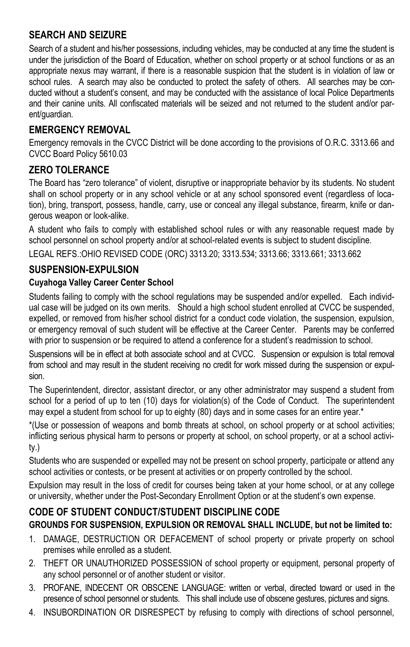# **SEARCH AND SEIZURE**

Search of a student and his/her possessions, including vehicles, may be conducted at any time the student is under the jurisdiction of the Board of Education, whether on school property or at school functions or as an appropriate nexus may warrant, if there is a reasonable suspicion that the student is in violation of law or school rules. A search may also be conducted to protect the safety of others. All searches may be conducted without a student's consent, and may be conducted with the assistance of local Police Departments and their canine units. All confiscated materials will be seized and not returned to the student and/or parent/guardian.

### **EMERGENCY REMOVAL**

Emergency removals in the CVCC District will be done according to the provisions of O.R.C. 3313.66 and CVCC Board Policy 5610.03

### **ZERO TOLERANCE**

The Board has "zero tolerance" of violent, disruptive or inappropriate behavior by its students. No student shall on school property or in any school vehicle or at any school sponsored event (regardless of location), bring, transport, possess, handle, carry, use or conceal any illegal substance, firearm, knife or dangerous weapon or look-alike.

A student who fails to comply with established school rules or with any reasonable request made by school personnel on school property and/or at school-related events is subject to student discipline.

LEGAL REFS.:OHIO REVISED CODE (ORC) 3313.20; 3313.534; 3313.66; 3313.661; 3313.662

### **SUSPENSION-EXPULSION**

### **Cuyahoga Valley Career Center School**

Students failing to comply with the school regulations may be suspended and/or expelled. Each individual case will be judged on its own merits. Should a high school student enrolled at CVCC be suspended, expelled, or removed from his/her school district for a conduct code violation, the suspension, expulsion, or emergency removal of such student will be effective at the Career Center. Parents may be conferred with prior to suspension or be required to attend a conference for a student's readmission to school.

Suspensions will be in effect at both associate school and at CVCC. Suspension or expulsion is total removal from school and may result in the student receiving no credit for work missed during the suspension or expulsion.

The Superintendent, director, assistant director, or any other administrator may suspend a student from school for a period of up to ten (10) days for violation(s) of the Code of Conduct. The superintendent may expel a student from school for up to eighty (80) days and in some cases for an entire year.\*

\*(Use or possession of weapons and bomb threats at school, on school property or at school activities; inflicting serious physical harm to persons or property at school, on school property, or at a school activity.)

Students who are suspended or expelled may not be present on school property, participate or attend any school activities or contests, or be present at activities or on property controlled by the school.

Expulsion may result in the loss of credit for courses being taken at your home school, or at any college or university, whether under the Post-Secondary Enrollment Option or at the student's own expense.

### **CODE OF STUDENT CONDUCT/STUDENT DISCIPLINE CODE**

### **GROUNDS FOR SUSPENSION, EXPULSION OR REMOVAL SHALL INCLUDE, but not be limited to:**

- 1. DAMAGE, DESTRUCTION OR DEFACEMENT of school property or private property on school premises while enrolled as a student.
- 2. THEFT OR UNAUTHORIZED POSSESSION of school property or equipment, personal property of any school personnel or of another student or visitor.
- 3. PROFANE, INDECENT OR OBSCENE LANGUAGE: written or verbal, directed toward or used in the presence of school personnel or students. This shall include use of obscene gestures, pictures and signs.
- 4. INSUBORDINATION OR DISRESPECT by refusing to comply with directions of school personnel,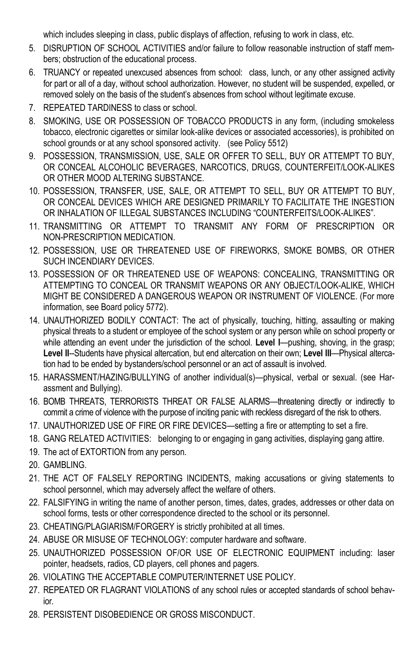which includes sleeping in class, public displays of affection, refusing to work in class, etc.

- 5. DISRUPTION OF SCHOOL ACTIVITIES and/or failure to follow reasonable instruction of staff members; obstruction of the educational process.
- 6. TRUANCY or repeated unexcused absences from school: class, lunch, or any other assigned activity for part or all of a day, without school authorization. However, no student will be suspended, expelled, or removed solely on the basis of the student's absences from school without legitimate excuse.
- 7. REPEATED TARDINESS to class or school.
- 8. SMOKING, USE OR POSSESSION OF TOBACCO PRODUCTS in any form, (including smokeless tobacco, electronic cigarettes or similar look-alike devices or associated accessories), is prohibited on school grounds or at any school sponsored activity. (see Policy 5512)
- 9. POSSESSION, TRANSMISSION, USE, SALE OR OFFER TO SELL, BUY OR ATTEMPT TO BUY, OR CONCEAL ALCOHOLIC BEVERAGES, NARCOTICS, DRUGS, COUNTERFEIT/LOOK-ALIKES OR OTHER MOOD ALTERING SUBSTANCE.
- 10. POSSESSION, TRANSFER, USE, SALE, OR ATTEMPT TO SELL, BUY OR ATTEMPT TO BUY, OR CONCEAL DEVICES WHICH ARE DESIGNED PRIMARILY TO FACILITATE THE INGESTION OR INHALATION OF ILLEGAL SUBSTANCES INCLUDING "COUNTERFEITS/LOOK-ALIKES".
- 11. TRANSMITTING OR ATTEMPT TO TRANSMIT ANY FORM OF PRESCRIPTION OR NON-PRESCRIPTION MEDICATION.
- 12. POSSESSION, USE OR THREATENED USE OF FIREWORKS, SMOKE BOMBS, OR OTHER SUCH INCENDIARY DEVICES.
- 13. POSSESSION OF OR THREATENED USE OF WEAPONS: CONCEALING, TRANSMITTING OR ATTEMPTING TO CONCEAL OR TRANSMIT WEAPONS OR ANY OBJECT/LOOK-ALIKE, WHICH MIGHT BE CONSIDERED A DANGEROUS WEAPON OR INSTRUMENT OF VIOLENCE. (For more information, see Board policy 5772).
- 14. UNAUTHORIZED BODILY CONTACT: The act of physically, touching, hitting, assaulting or making physical threats to a student or employee of the school system or any person while on school property or while attending an event under the jurisdiction of the school. Level I--pushing, shoving, in the grasp; **Level II**--Students have physical altercation, but end altercation on their own; **Level III**—Physical altercation had to be ended by bystanders/school personnel or an act of assault is involved.
- 15. HARASSMENT/HAZING/BULLYING of another individual(s)—physical, verbal or sexual. (see Harassment and Bullying).
- 16. BOMB THREATS, TERRORISTS THREAT OR FALSE ALARMS—threatening directly or indirectly to commit a crime of violence with the purpose of inciting panic with reckless disregard of the risk to others.
- 17. UNAUTHORIZED USE OF FIRE OR FIRE DEVICES—setting a fire or attempting to set a fire.
- 18. GANG RELATED ACTIVITIES: belonging to or engaging in gang activities, displaying gang attire.
- 19. The act of EXTORTION from any person.
- 20. GAMBLING.
- 21. THE ACT OF FALSELY REPORTING INCIDENTS, making accusations or giving statements to school personnel, which may adversely affect the welfare of others.
- 22. FALSIFYING in writing the name of another person, times, dates, grades, addresses or other data on school forms, tests or other correspondence directed to the school or its personnel.
- 23. CHEATING/PLAGIARISM/FORGERY is strictly prohibited at all times.
- 24. ABUSE OR MISUSE OF TECHNOLOGY: computer hardware and software.
- 25. UNAUTHORIZED POSSESSION OF/OR USE OF ELECTRONIC EQUIPMENT including: laser pointer, headsets, radios, CD players, cell phones and pagers.
- 26. VIOLATING THE ACCEPTABLE COMPUTER/INTERNET USE POLICY.
- 27. REPEATED OR FLAGRANT VIOLATIONS of any school rules or accepted standards of school behavior.
- 28. PERSISTENT DISOBEDIENCE OR GROSS MISCONDUCT.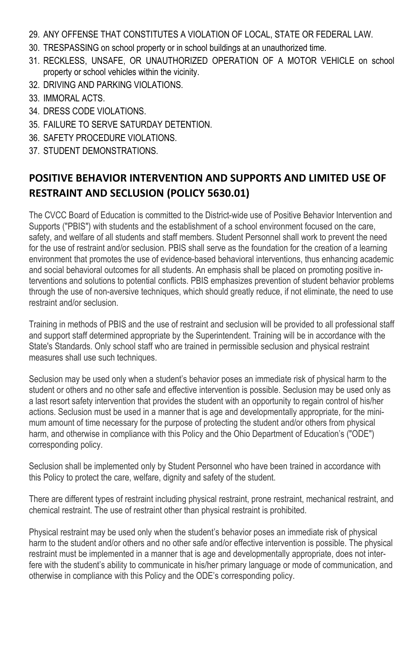- 29. ANY OFFENSE THAT CONSTITUTES A VIOLATION OF LOCAL, STATE OR FEDERAL LAW.
- 30. TRESPASSING on school property or in school buildings at an unauthorized time.
- 31. RECKLESS, UNSAFE, OR UNAUTHORIZED OPERATION OF A MOTOR VEHICLE on school property or school vehicles within the vicinity.
- 32. DRIVING AND PARKING VIOLATIONS.
- 33. IMMORAL ACTS.
- 34. DRESS CODE VIOLATIONS.
- 35. FAILURE TO SERVE SATURDAY DETENTION.
- 36. SAFETY PROCEDURE VIOLATIONS.
- 37. STUDENT DEMONSTRATIONS.

# **POSITIVE BEHAVIOR INTERVENTION AND SUPPORTS AND LIMITED USE OF RESTRAINT AND SECLUSION (POLICY 5630.01)**

The CVCC Board of Education is committed to the District-wide use of Positive Behavior Intervention and Supports ("PBIS") with students and the establishment of a school environment focused on the care, safety, and welfare of all students and staff members. Student Personnel shall work to prevent the need for the use of restraint and/or seclusion. PBIS shall serve as the foundation for the creation of a learning environment that promotes the use of evidence-based behavioral interventions, thus enhancing academic and social behavioral outcomes for all students. An emphasis shall be placed on promoting positive interventions and solutions to potential conflicts. PBIS emphasizes prevention of student behavior problems through the use of non-aversive techniques, which should greatly reduce, if not eliminate, the need to use restraint and/or seclusion.

Training in methods of PBIS and the use of restraint and seclusion will be provided to all professional staff and support staff determined appropriate by the Superintendent. Training will be in accordance with the State's Standards. Only school staff who are trained in permissible seclusion and physical restraint measures shall use such techniques.

Seclusion may be used only when a student's behavior poses an immediate risk of physical harm to the student or others and no other safe and effective intervention is possible. Seclusion may be used only as a last resort safety intervention that provides the student with an opportunity to regain control of his/her actions. Seclusion must be used in a manner that is age and developmentally appropriate, for the minimum amount of time necessary for the purpose of protecting the student and/or others from physical harm, and otherwise in compliance with this Policy and the Ohio Department of Education's ("ODE") corresponding policy.

Seclusion shall be implemented only by Student Personnel who have been trained in accordance with this Policy to protect the care, welfare, dignity and safety of the student.

There are different types of restraint including physical restraint, prone restraint, mechanical restraint, and chemical restraint. The use of restraint other than physical restraint is prohibited.

Physical restraint may be used only when the student's behavior poses an immediate risk of physical harm to the student and/or others and no other safe and/or effective intervention is possible. The physical restraint must be implemented in a manner that is age and developmentally appropriate, does not interfere with the student's ability to communicate in his/her primary language or mode of communication, and otherwise in compliance with this Policy and the ODE's corresponding policy.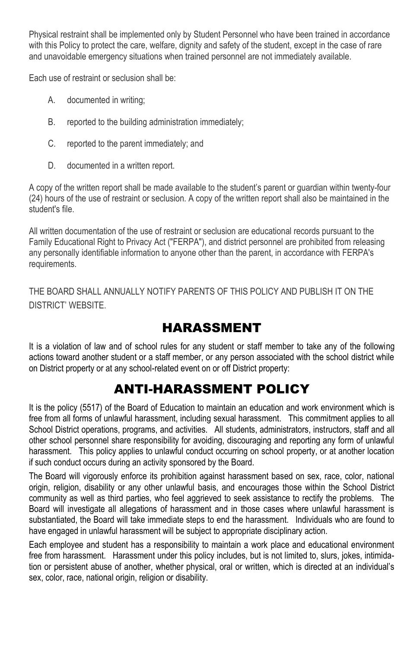Physical restraint shall be implemented only by Student Personnel who have been trained in accordance with this Policy to protect the care, welfare, dignity and safety of the student, except in the case of rare and unavoidable emergency situations when trained personnel are not immediately available.

Each use of restraint or seclusion shall be:

- A. documented in writing;
- B. reported to the building administration immediately;
- C. reported to the parent immediately; and
- D. documented in a written report.

A copy of the written report shall be made available to the student's parent or guardian within twenty-four (24) hours of the use of restraint or seclusion. A copy of the written report shall also be maintained in the student's file.

All written documentation of the use of restraint or seclusion are educational records pursuant to the Family Educational Right to Privacy Act ("FERPA"), and district personnel are prohibited from releasing any personally identifiable information to anyone other than the parent, in accordance with FERPA's requirements.

THE BOARD SHALL ANNUALLY NOTIFY PARENTS OF THIS POLICY AND PUBLISH IT ON THE DISTRICT' WEBSITE.

# HARASSMENT

It is a violation of law and of school rules for any student or staff member to take any of the following actions toward another student or a staff member, or any person associated with the school district while on District property or at any school-related event on or off District property:

# ANTI-HARASSMENT POLICY

It is the policy (5517) of the Board of Education to maintain an education and work environment which is free from all forms of unlawful harassment, including sexual harassment. This commitment applies to all School District operations, programs, and activities. All students, administrators, instructors, staff and all other school personnel share responsibility for avoiding, discouraging and reporting any form of unlawful harassment. This policy applies to unlawful conduct occurring on school property, or at another location if such conduct occurs during an activity sponsored by the Board.

The Board will vigorously enforce its prohibition against harassment based on sex, race, color, national origin, religion, disability or any other unlawful basis, and encourages those within the School District community as well as third parties, who feel aggrieved to seek assistance to rectify the problems. The Board will investigate all allegations of harassment and in those cases where unlawful harassment is substantiated, the Board will take immediate steps to end the harassment. Individuals who are found to have engaged in unlawful harassment will be subject to appropriate disciplinary action.

Each employee and student has a responsibility to maintain a work place and educational environment free from harassment. Harassment under this policy includes, but is not limited to, slurs, jokes, intimidation or persistent abuse of another, whether physical, oral or written, which is directed at an individual's sex, color, race, national origin, religion or disability.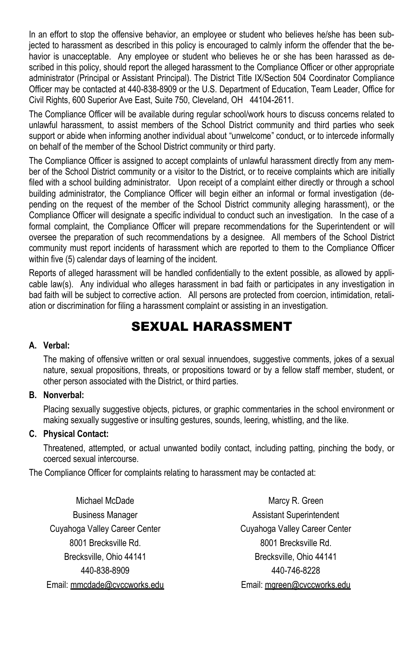In an effort to stop the offensive behavior, an employee or student who believes he/she has been subjected to harassment as described in this policy is encouraged to calmly inform the offender that the behavior is unacceptable. Any employee or student who believes he or she has been harassed as described in this policy, should report the alleged harassment to the Compliance Officer or other appropriate administrator (Principal or Assistant Principal). The District Title IX/Section 504 Coordinator Compliance Officer may be contacted at 440-838-8909 or the U.S. Department of Education, Team Leader, Office for Civil Rights, 600 Superior Ave East, Suite 750, Cleveland, OH 44104-2611.

The Compliance Officer will be available during regular school/work hours to discuss concerns related to unlawful harassment, to assist members of the School District community and third parties who seek support or abide when informing another individual about "unwelcome" conduct, or to intercede informally on behalf of the member of the School District community or third party.

The Compliance Officer is assigned to accept complaints of unlawful harassment directly from any member of the School District community or a visitor to the District, or to receive complaints which are initially filed with a school building administrator. Upon receipt of a complaint either directly or through a school building administrator, the Compliance Officer will begin either an informal or formal investigation (depending on the request of the member of the School District community alleging harassment), or the Compliance Officer will designate a specific individual to conduct such an investigation. In the case of a formal complaint, the Compliance Officer will prepare recommendations for the Superintendent or will oversee the preparation of such recommendations by a designee. All members of the School District community must report incidents of harassment which are reported to them to the Compliance Officer within five (5) calendar days of learning of the incident.

Reports of alleged harassment will be handled confidentially to the extent possible, as allowed by applicable law(s). Any individual who alleges harassment in bad faith or participates in any investigation in bad faith will be subject to corrective action. All persons are protected from coercion, intimidation, retaliation or discrimination for filing a harassment complaint or assisting in an investigation.

# SEXUAL HARASSMENT

### **A. Verbal:**

The making of offensive written or oral sexual innuendoes, suggestive comments, jokes of a sexual nature, sexual propositions, threats, or propositions toward or by a fellow staff member, student, or other person associated with the District, or third parties.

### **B. Nonverbal:**

Placing sexually suggestive objects, pictures, or graphic commentaries in the school environment or making sexually suggestive or insulting gestures, sounds, leering, whistling, and the like.

### **C. Physical Contact:**

Threatened, attempted, or actual unwanted bodily contact, including patting, pinching the body, or coerced sexual intercourse.

The Compliance Officer for complaints relating to harassment may be contacted at:

Michael McDade **Marcy R. Green** Cuyahoga Valley Career Center Cuyahoga Valley Career Center 8001 Brecksville Rd. 68001 Brecksville Rd. Brecksville, Ohio 44141 **Brecksville, Ohio 44141** 440-838-8909 440-746-8228

Business Manager **Assistant Superintendent** Email: mmcdade@cvccworks.edu Email: mgreen@cvccworks.edu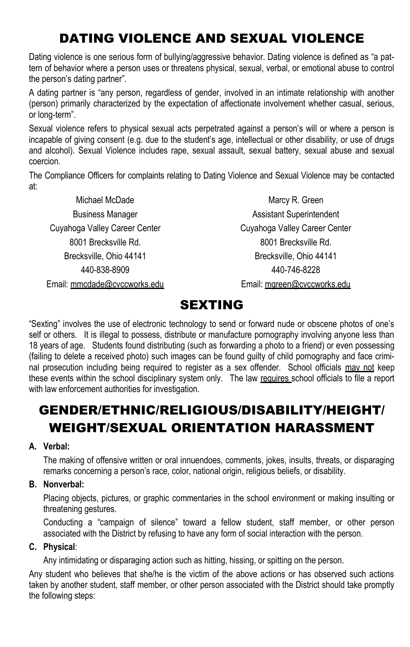# DATING VIOLENCE AND SEXUAL VIOLENCE

Dating violence is one serious form of bullying/aggressive behavior. Dating violence is defined as "a pattern of behavior where a person uses or threatens physical, sexual, verbal, or emotional abuse to control the person's dating partner".

A dating partner is "any person, regardless of gender, involved in an intimate relationship with another (person) primarily characterized by the expectation of affectionate involvement whether casual, serious, or long-term".

Sexual violence refers to physical sexual acts perpetrated against a person's will or where a person is incapable of giving consent (e.g. due to the student's age, intellectual or other disability, or use of drugs and alcohol). Sexual Violence includes rape, sexual assault, sexual battery, sexual abuse and sexual coercion.

The Compliance Officers for complaints relating to Dating Violence and Sexual Violence may be contacted at:

Cuyahoga Valley Career Center Cuyahoga Valley Career Center 8001 Brecksville Rd. 68001 Brecksville Rd. Brecksville, Ohio 44141 **Brecksville, Ohio 44141** 440-838-8909 440-746-8228

Michael McDade Marcy R. Green Business Manager **Assistant Superintendent** Email: mmcdade@cvccworks.edu email: mareen@cvccworks.edu

# SEXTING

"Sexting" involves the use of electronic technology to send or forward nude or obscene photos of one's self or others. It is illegal to possess, distribute or manufacture pornography involving anyone less than 18 years of age. Students found distributing (such as forwarding a photo to a friend) or even possessing (failing to delete a received photo) such images can be found guilty of child pornography and face criminal prosecution including being required to register as a sex offender. School officials may not keep these events within the school disciplinary system only. The law requires school officials to file a report with law enforcement authorities for investigation.

# GENDER/ETHNIC/RELIGIOUS/DISABILITY/HEIGHT/ WEIGHT/SEXUAL ORIENTATION HARASSMENT

### **A. Verbal:**

The making of offensive written or oral innuendoes, comments, jokes, insults, threats, or disparaging remarks concerning a person's race, color, national origin, religious beliefs, or disability.

### **B. Nonverbal:**

Placing objects, pictures, or graphic commentaries in the school environment or making insulting or threatening gestures.

Conducting a "campaign of silence" toward a fellow student, staff member, or other person associated with the District by refusing to have any form of social interaction with the person.

### **C. Physical**:

Any intimidating or disparaging action such as hitting, hissing, or spitting on the person.

Any student who believes that she/he is the victim of the above actions or has observed such actions taken by another student, staff member, or other person associated with the District should take promptly the following steps: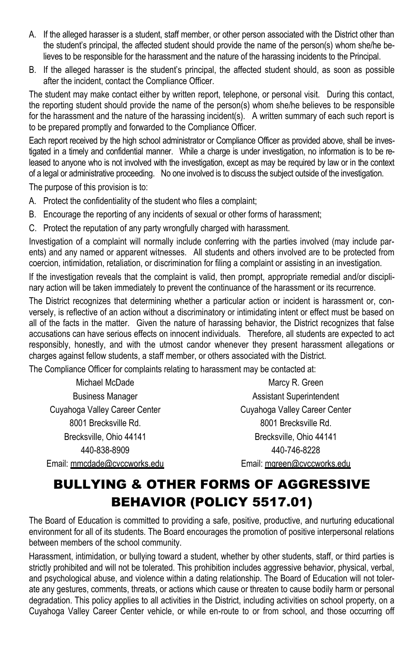- A. If the alleged harasser is a student, staff member, or other person associated with the District other than the student's principal, the affected student should provide the name of the person(s) whom she/he believes to be responsible for the harassment and the nature of the harassing incidents to the Principal.
- B. If the alleged harasser is the student's principal, the affected student should, as soon as possible after the incident, contact the Compliance Officer.

The student may make contact either by written report, telephone, or personal visit. During this contact, the reporting student should provide the name of the person(s) whom she/he believes to be responsible for the harassment and the nature of the harassing incident(s). A written summary of each such report is to be prepared promptly and forwarded to the Compliance Officer.

Each report received by the high school administrator or Compliance Officer as provided above, shall be investigated in a timely and confidential manner. While a charge is under investigation, no information is to be released to anyone who is not involved with the investigation, except as may be required by law or in the context of a legal or administrative proceeding. No one involved is to discuss the subject outside of the investigation.

The purpose of this provision is to:

- A. Protect the confidentiality of the student who files a complaint;
- B. Encourage the reporting of any incidents of sexual or other forms of harassment;
- C. Protect the reputation of any party wrongfully charged with harassment.

Investigation of a complaint will normally include conferring with the parties involved (may include parents) and any named or apparent witnesses. All students and others involved are to be protected from coercion, intimidation, retaliation, or discrimination for filing a complaint or assisting in an investigation.

If the investigation reveals that the complaint is valid, then prompt, appropriate remedial and/or disciplinary action will be taken immediately to prevent the continuance of the harassment or its recurrence.

The District recognizes that determining whether a particular action or incident is harassment or, conversely, is reflective of an action without a discriminatory or intimidating intent or effect must be based on all of the facts in the matter. Given the nature of harassing behavior, the District recognizes that false accusations can have serious effects on innocent individuals. Therefore, all students are expected to act responsibly, honestly, and with the utmost candor whenever they present harassment allegations or charges against fellow students, a staff member, or others associated with the District.

The Compliance Officer for complaints relating to harassment may be contacted at:

Michael McDade Marcy R. Green Cuyahoga Valley Career Center Cuyahoga Valley Career Center 8001 Brecksville Rd. 68001 Brecksville Rd. Brecksville, Ohio 44141 Brecksville, Ohio 44141 440-838-8909 440-746-8228 Email: mmcdade@cvccworks.edu Email: mgreen@cvccworks.edu

Business Manager **Assistant Superintendent** 

# BULLYING & OTHER FORMS OF AGGRESSIVE BEHAVIOR (POLICY 5517.01)

The Board of Education is committed to providing a safe, positive, productive, and nurturing educational environment for all of its students. The Board encourages the promotion of positive interpersonal relations between members of the school community.

Harassment, intimidation, or bullying toward a student, whether by other students, staff, or third parties is strictly prohibited and will not be tolerated. This prohibition includes aggressive behavior, physical, verbal, and psychological abuse, and violence within a dating relationship. The Board of Education will not tolerate any gestures, comments, threats, or actions which cause or threaten to cause bodily harm or personal degradation. This policy applies to all activities in the District, including activities on school property, on a Cuyahoga Valley Career Center vehicle, or while en-route to or from school, and those occurring off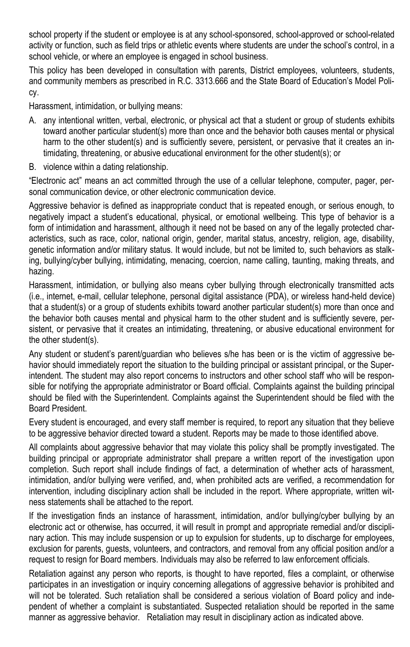school property if the student or employee is at any school-sponsored, school-approved or school-related activity or function, such as field trips or athletic events where students are under the school's control, in a school vehicle, or where an employee is engaged in school business.

This policy has been developed in consultation with parents, District employees, volunteers, students, and community members as prescribed in R.C. 3313.666 and the State Board of Education's Model Policy.

Harassment, intimidation, or bullying means:

- A. any intentional written, verbal, electronic, or physical act that a student or group of students exhibits toward another particular student(s) more than once and the behavior both causes mental or physical harm to the other student(s) and is sufficiently severe, persistent, or pervasive that it creates an intimidating, threatening, or abusive educational environment for the other student(s); or
- B. violence within a dating relationship.

"Electronic act" means an act committed through the use of a cellular telephone, computer, pager, personal communication device, or other electronic communication device.

Aggressive behavior is defined as inappropriate conduct that is repeated enough, or serious enough, to negatively impact a student's educational, physical, or emotional wellbeing. This type of behavior is a form of intimidation and harassment, although it need not be based on any of the legally protected characteristics, such as race, color, national origin, gender, marital status, ancestry, religion, age, disability, genetic information and/or military status. It would include, but not be limited to, such behaviors as stalking, bullying/cyber bullying, intimidating, menacing, coercion, name calling, taunting, making threats, and hazing.

Harassment, intimidation, or bullying also means cyber bullying through electronically transmitted acts (i.e., internet, e-mail, cellular telephone, personal digital assistance (PDA), or wireless hand-held device) that a student(s) or a group of students exhibits toward another particular student(s) more than once and the behavior both causes mental and physical harm to the other student and is sufficiently severe, persistent, or pervasive that it creates an intimidating, threatening, or abusive educational environment for the other student(s).

Any student or student's parent/guardian who believes s/he has been or is the victim of aggressive behavior should immediately report the situation to the building principal or assistant principal, or the Superintendent. The student may also report concerns to instructors and other school staff who will be responsible for notifying the appropriate administrator or Board official. Complaints against the building principal should be filed with the Superintendent. Complaints against the Superintendent should be filed with the Board President.

Every student is encouraged, and every staff member is required, to report any situation that they believe to be aggressive behavior directed toward a student. Reports may be made to those identified above.

All complaints about aggressive behavior that may violate this policy shall be promptly investigated. The building principal or appropriate administrator shall prepare a written report of the investigation upon completion. Such report shall include findings of fact, a determination of whether acts of harassment, intimidation, and/or bullying were verified, and, when prohibited acts are verified, a recommendation for intervention, including disciplinary action shall be included in the report. Where appropriate, written witness statements shall be attached to the report.

If the investigation finds an instance of harassment, intimidation, and/or bullying/cyber bullying by an electronic act or otherwise, has occurred, it will result in prompt and appropriate remedial and/or disciplinary action. This may include suspension or up to expulsion for students, up to discharge for employees, exclusion for parents, guests, volunteers, and contractors, and removal from any official position and/or a request to resign for Board members. Individuals may also be referred to law enforcement officials.

Retaliation against any person who reports, is thought to have reported, files a complaint, or otherwise participates in an investigation or inquiry concerning allegations of aggressive behavior is prohibited and will not be tolerated. Such retaliation shall be considered a serious violation of Board policy and independent of whether a complaint is substantiated. Suspected retaliation should be reported in the same manner as aggressive behavior. Retaliation may result in disciplinary action as indicated above.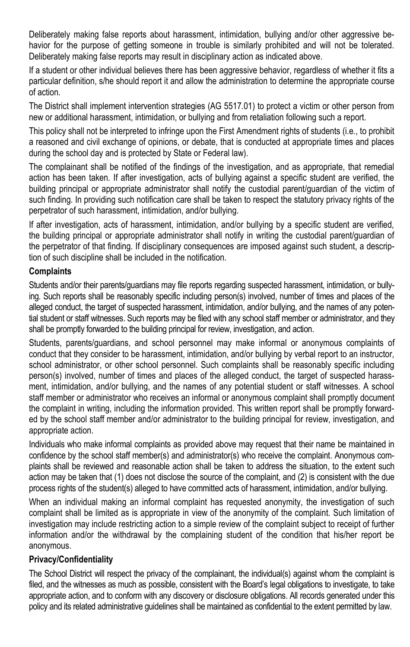Deliberately making false reports about harassment, intimidation, bullying and/or other aggressive behavior for the purpose of getting someone in trouble is similarly prohibited and will not be tolerated. Deliberately making false reports may result in disciplinary action as indicated above.

If a student or other individual believes there has been aggressive behavior, regardless of whether it fits a particular definition, s/he should report it and allow the administration to determine the appropriate course of action.

The District shall implement intervention strategies (AG 5517.01) to protect a victim or other person from new or additional harassment, intimidation, or bullying and from retaliation following such a report.

This policy shall not be interpreted to infringe upon the First Amendment rights of students (i.e., to prohibit a reasoned and civil exchange of opinions, or debate, that is conducted at appropriate times and places during the school day and is protected by State or Federal law).

The complainant shall be notified of the findings of the investigation, and as appropriate, that remedial action has been taken. If after investigation, acts of bullying against a specific student are verified, the building principal or appropriate administrator shall notify the custodial parent/guardian of the victim of such finding. In providing such notification care shall be taken to respect the statutory privacy rights of the perpetrator of such harassment, intimidation, and/or bullying.

If after investigation, acts of harassment, intimidation, and/or bullying by a specific student are verified, the building principal or appropriate administrator shall notify in writing the custodial parent/guardian of the perpetrator of that finding. If disciplinary consequences are imposed against such student, a description of such discipline shall be included in the notification.

### **Complaints**

Students and/or their parents/guardians may file reports regarding suspected harassment, intimidation, or bullying. Such reports shall be reasonably specific including person(s) involved, number of times and places of the alleged conduct, the target of suspected harassment, intimidation, and/or bullying, and the names of any potential student or staff witnesses. Such reports may be filed with any school staff member or administrator, and they shall be promptly forwarded to the building principal for review, investigation, and action.

Students, parents/guardians, and school personnel may make informal or anonymous complaints of conduct that they consider to be harassment, intimidation, and/or bullying by verbal report to an instructor, school administrator, or other school personnel. Such complaints shall be reasonably specific including person(s) involved, number of times and places of the alleged conduct, the target of suspected harassment, intimidation, and/or bullying, and the names of any potential student or staff witnesses. A school staff member or administrator who receives an informal or anonymous complaint shall promptly document the complaint in writing, including the information provided. This written report shall be promptly forwarded by the school staff member and/or administrator to the building principal for review, investigation, and appropriate action.

Individuals who make informal complaints as provided above may request that their name be maintained in confidence by the school staff member(s) and administrator(s) who receive the complaint. Anonymous complaints shall be reviewed and reasonable action shall be taken to address the situation, to the extent such action may be taken that (1) does not disclose the source of the complaint, and (2) is consistent with the due process rights of the student(s) alleged to have committed acts of harassment, intimidation, and/or bullying.

When an individual making an informal complaint has requested anonymity, the investigation of such complaint shall be limited as is appropriate in view of the anonymity of the complaint. Such limitation of investigation may include restricting action to a simple review of the complaint subject to receipt of further information and/or the withdrawal by the complaining student of the condition that his/her report be anonymous.

### **Privacy/Confidentiality**

The School District will respect the privacy of the complainant, the individual(s) against whom the complaint is filed, and the witnesses as much as possible, consistent with the Board's legal obligations to investigate, to take appropriate action, and to conform with any discovery or disclosure obligations. All records generated under this policy and its related administrative guidelines shall be maintained as confidential to the extent permitted by law.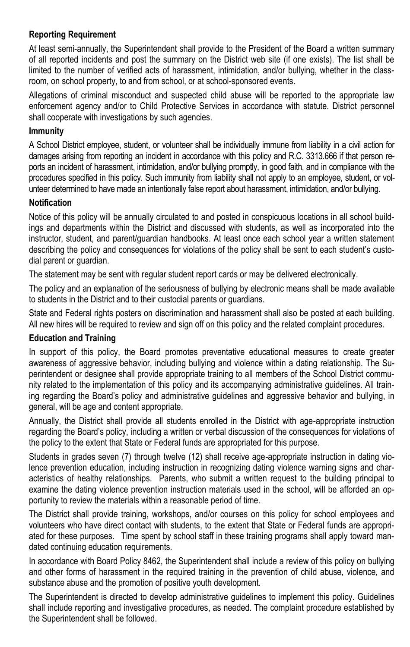### **Reporting Requirement**

At least semi-annually, the Superintendent shall provide to the President of the Board a written summary of all reported incidents and post the summary on the District web site (if one exists). The list shall be limited to the number of verified acts of harassment, intimidation, and/or bullying, whether in the classroom, on school property, to and from school, or at school-sponsored events.

Allegations of criminal misconduct and suspected child abuse will be reported to the appropriate law enforcement agency and/or to Child Protective Services in accordance with statute. District personnel shall cooperate with investigations by such agencies.

### **Immunity**

A School District employee, student, or volunteer shall be individually immune from liability in a civil action for damages arising from reporting an incident in accordance with this policy and R.C. 3313.666 if that person reports an incident of harassment, intimidation, and/or bullying promptly, in good faith, and in compliance with the procedures specified in this policy. Such immunity from liability shall not apply to an employee, student, or volunteer determined to have made an intentionally false report about harassment, intimidation, and/or bullying.

### **Notification**

Notice of this policy will be annually circulated to and posted in conspicuous locations in all school buildings and departments within the District and discussed with students, as well as incorporated into the instructor, student, and parent/guardian handbooks. At least once each school year a written statement describing the policy and consequences for violations of the policy shall be sent to each student's custodial parent or guardian.

The statement may be sent with regular student report cards or may be delivered electronically.

The policy and an explanation of the seriousness of bullying by electronic means shall be made available to students in the District and to their custodial parents or guardians.

State and Federal rights posters on discrimination and harassment shall also be posted at each building. All new hires will be required to review and sign off on this policy and the related complaint procedures.

### **Education and Training**

In support of this policy, the Board promotes preventative educational measures to create greater awareness of aggressive behavior, including bullying and violence within a dating relationship. The Superintendent or designee shall provide appropriate training to all members of the School District community related to the implementation of this policy and its accompanying administrative guidelines. All training regarding the Board's policy and administrative guidelines and aggressive behavior and bullying, in general, will be age and content appropriate.

Annually, the District shall provide all students enrolled in the District with age-appropriate instruction regarding the Board's policy, including a written or verbal discussion of the consequences for violations of the policy to the extent that State or Federal funds are appropriated for this purpose.

Students in grades seven (7) through twelve (12) shall receive age-appropriate instruction in dating violence prevention education, including instruction in recognizing dating violence warning signs and characteristics of healthy relationships. Parents, who submit a written request to the building principal to examine the dating violence prevention instruction materials used in the school, will be afforded an opportunity to review the materials within a reasonable period of time.

The District shall provide training, workshops, and/or courses on this policy for school employees and volunteers who have direct contact with students, to the extent that State or Federal funds are appropriated for these purposes. Time spent by school staff in these training programs shall apply toward mandated continuing education requirements.

In accordance with Board Policy 8462, the Superintendent shall include a review of this policy on bullying and other forms of harassment in the required training in the prevention of child abuse, violence, and substance abuse and the promotion of positive youth development.

The Superintendent is directed to develop administrative guidelines to implement this policy. Guidelines shall include reporting and investigative procedures, as needed. The complaint procedure established by the Superintendent shall be followed.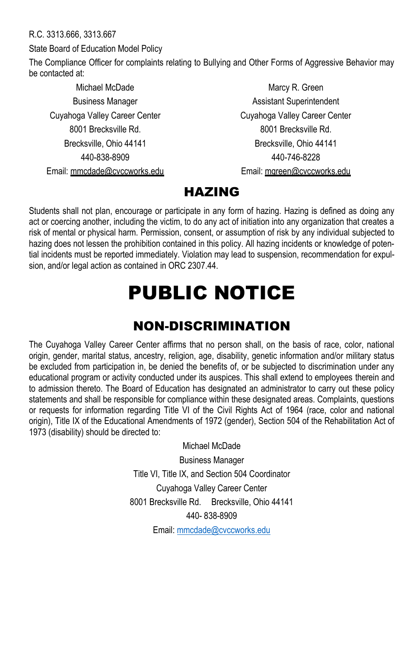R.C. 3313.666, 3313.667

State Board of Education Model Policy

The Compliance Officer for complaints relating to Bullying and Other Forms of Aggressive Behavior may be contacted at:

Cuyahoga Valley Career Center Cuyahoga Valley Career Center 8001 Brecksville Rd. 68001 Brecksville Rd. Brecksville, Ohio 44141 Brecksville, Ohio 44141 440-838-8909 440-746-8228 Email: mmcdade@cvccworks.edu Email: mgreen@cvccworks.edu

Michael McDade **Marcy R. Green** Business Manager **Assistant Superintendent** 

# HAZING

Students shall not plan, encourage or participate in any form of hazing. Hazing is defined as doing any act or coercing another, including the victim, to do any act of initiation into any organization that creates a risk of mental or physical harm. Permission, consent, or assumption of risk by any individual subjected to hazing does not lessen the prohibition contained in this policy. All hazing incidents or knowledge of potential incidents must be reported immediately. Violation may lead to suspension, recommendation for expulsion, and/or legal action as contained in ORC 2307.44.

# PUBLIC NOTICE

# NON-DISCRIMINATION

The Cuyahoga Valley Career Center affirms that no person shall, on the basis of race, color, national origin, gender, marital status, ancestry, religion, age, disability, genetic information and/or military status be excluded from participation in, be denied the benefits of, or be subjected to discrimination under any educational program or activity conducted under its auspices. This shall extend to employees therein and to admission thereto. The Board of Education has designated an administrator to carry out these policy statements and shall be responsible for compliance within these designated areas. Complaints, questions or requests for information regarding Title VI of the Civil Rights Act of 1964 (race, color and national origin), Title IX of the Educational Amendments of 1972 (gender), Section 504 of the Rehabilitation Act of 1973 (disability) should be directed to:

> Michael McDade Business Manager Title VI, Title IX, and Section 504 Coordinator Cuyahoga Valley Career Center 8001 Brecksville Rd. Brecksville, Ohio 44141 440- 838-8909

Email[: mmcdade@cvccworks.edu](mailto:mmcdade@cvccworks.edu)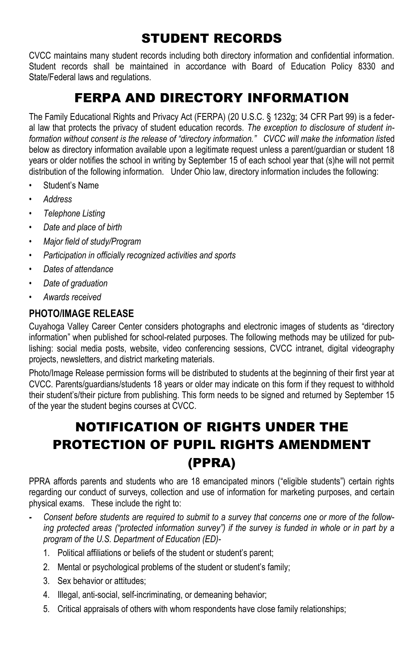# STUDENT RECORDS

CVCC maintains many student records including both directory information and confidential information. Student records shall be maintained in accordance with Board of Education Policy 8330 and State/Federal laws and regulations.

# FERPA AND DIRECTORY INFORMATION

The Family Educational Rights and Privacy Act (FERPA) (20 U.S.C. § 1232g; 34 CFR Part 99) is a federal law that protects the privacy of student education records. *The exception to disclosure of student information without consent is the release of "directory information." CVCC will make the information list*ed below as directory information available upon a legitimate request unless a parent/guardian or student 18 years or older notifies the school in writing by September 15 of each school year that (s)he will not permit distribution of the following information. Under Ohio law, directory information includes the following:

- Student's Name
- *• Address*
- *• Telephone Listing*
- *• Date and place of birth*
- *• Major field of study/Program*
- *• Participation in officially recognized activities and sports*
- *• Dates of attendance*
- *• Date of graduation*
- *• Awards received*

### **PHOTO/IMAGE RELEASE**

Cuyahoga Valley Career Center considers photographs and electronic images of students as "directory information" when published for school-related purposes. The following methods may be utilized for publishing: social media posts, website, video conferencing sessions, CVCC intranet, digital videography projects, newsletters, and district marketing materials.

Photo/Image Release permission forms will be distributed to students at the beginning of their first year at CVCC. Parents/guardians/students 18 years or older may indicate on this form if they request to withhold their student's/their picture from publishing. This form needs to be signed and returned by September 15 of the year the student begins courses at CVCC.

# NOTIFICATION OF RIGHTS UNDER THE PROTECTION OF PUPIL RIGHTS AMENDMENT (PPRA)

PPRA affords parents and students who are 18 emancipated minors ("eligible students") certain rights regarding our conduct of surveys, collection and use of information for marketing purposes, and certain physical exams. These include the right to:

- *- Consent before students are required to submit to a survey that concerns one or more of the following protected areas ("protected information survey") if the survey is funded in whole or in part by a program of the U.S. Department of Education (ED)-*
	- 1. Political affiliations or beliefs of the student or student's parent;
	- 2. Mental or psychological problems of the student or student's family;
	- 3. Sex behavior or attitudes;
	- 4. Illegal, anti-social, self-incriminating, or demeaning behavior;
	- 5. Critical appraisals of others with whom respondents have close family relationships;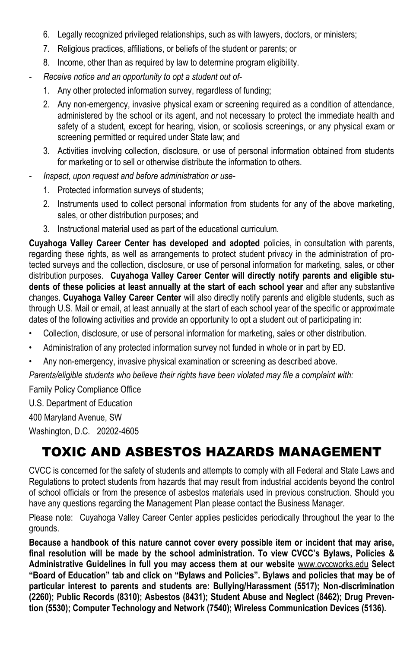- 6. Legally recognized privileged relationships, such as with lawyers, doctors, or ministers;
- 7. Religious practices, affiliations, or beliefs of the student or parents; or
- 8. Income, other than as required by law to determine program eligibility.
- *- Receive notice and an opportunity to opt a student out of-*
	- 1. Any other protected information survey, regardless of funding;
	- 2. Any non-emergency, invasive physical exam or screening required as a condition of attendance, administered by the school or its agent, and not necessary to protect the immediate health and safety of a student, except for hearing, vision, or scoliosis screenings, or any physical exam or screening permitted or required under State law; and
	- 3. Activities involving collection, disclosure, or use of personal information obtained from students for marketing or to sell or otherwise distribute the information to others.
- *- Inspect, upon request and before administration or use-*
	- 1. Protected information surveys of students;
	- 2. Instruments used to collect personal information from students for any of the above marketing, sales, or other distribution purposes; and
	- 3. Instructional material used as part of the educational curriculum.

**Cuyahoga Valley Career Center has developed and adopted** policies, in consultation with parents, regarding these rights, as well as arrangements to protect student privacy in the administration of protected surveys and the collection, disclosure, or use of personal information for marketing, sales, or other distribution purposes. **Cuyahoga Valley Career Center will directly notify parents and eligible students of these policies at least annually at the start of each school year** and after any substantive changes. **Cuyahoga Valley Career Center** will also directly notify parents and eligible students, such as through U.S. Mail or email, at least annually at the start of each school year of the specific or approximate dates of the following activities and provide an opportunity to opt a student out of participating in:

- Collection, disclosure, or use of personal information for marketing, sales or other distribution.
- Administration of any protected information survey not funded in whole or in part by ED.
- Any non-emergency, invasive physical examination or screening as described above.

*Parents/eligible students who believe their rights have been violated may file a complaint with:*

Family Policy Compliance Office

U.S. Department of Education

400 Maryland Avenue, SW

Washington, D.C. 20202-4605

# TOXIC AND ASBESTOS HAZARDS MANAGEMENT

CVCC is concerned for the safety of students and attempts to comply with all Federal and State Laws and Regulations to protect students from hazards that may result from industrial accidents beyond the control of school officials or from the presence of asbestos materials used in previous construction. Should you have any questions regarding the Management Plan please contact the Business Manager.

Please note: Cuyahoga Valley Career Center applies pesticides periodically throughout the year to the grounds.

**Because a handbook of this nature cannot cover every possible item or incident that may arise, final resolution will be made by the school administration. To view CVCC's Bylaws, Policies & Administrative Guidelines in full you may access them at our website** www.cvccworks.edu **Select "Board of Education" tab and click on "Bylaws and Policies". Bylaws and policies that may be of particular interest to parents and students are: Bullying/Harassment (5517); Non-discrimination (2260); Public Records (8310); Asbestos (8431); Student Abuse and Neglect (8462); Drug Prevention (5530); Computer Technology and Network (7540); Wireless Communication Devices (5136).**